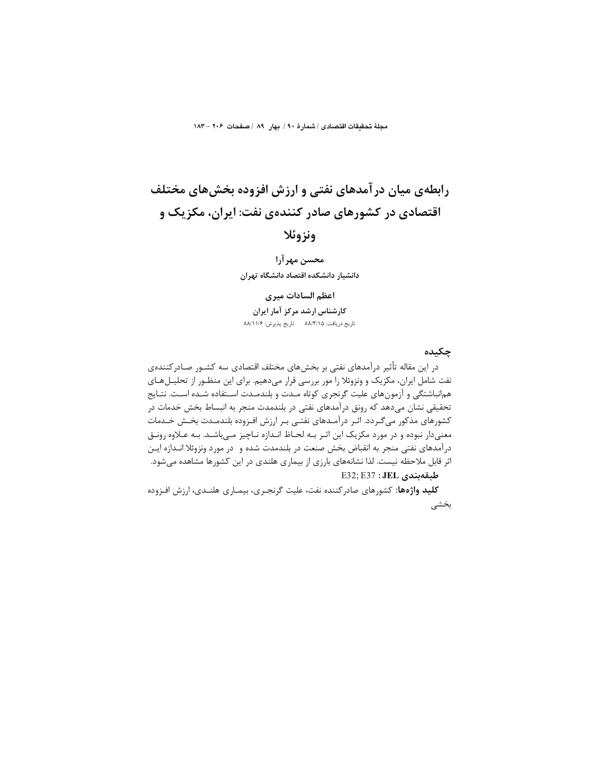مجلةُ تحقيقات اقتصادى / شمارةَ ٩٠ / بهارِ ٨٩ / صفحات ٢٠۶ –١٨٣

# رابطهی میان درآمدهای نفتی و ارزش افزوده بخشهای مختلف اقتصادی در کشورهای صادر کنندهی نفت: ایران، مکزیک و

# ونزوئلا

محسن مهرآرا دانشيار دانشكده اقتصاد دانشگاه تهران

## اعظم السادات ميري

كارشناس ارشد مركز آمار ايران تاريخ دريافت: ٨٨/٣/١۵ - تاريخ پذيرش: ٨٨/١١/۶

#### چکىدە

در این مقاله تأثیر درآمدهای نفتی بر بخشهای مختلف اقتصادی سه کشـور صـادرکنندهی نفت شامل ایران، مکزیک و ونزوئلا را مور بررسی قرار میدهیم. برای این منظـور از تحلیـلهـای هم|نباشتگی و آزمونهای علیت گرنجری کوتاه مـدت و بلندمـدت اسـتفاده شـده اسـت. نتـایج تحقیقی نشان میدهد که رونق درآمدهای نفتی در بلندمدت منجر به انبساط بخش خدمات در کشورهای مذکور میگـردد. اثـر درآمـدهای نفتـی بـر ارزش افـزوده بلندمـدت بخـش خـدمات معنیدار نبوده و در مورد مکزیک این اثـر بـه لحـاظ انـدازه نـاچیز مـی!شـد. بـه عـلاوه رونـق درآمدهای نفتی منجر به انقباض بخش صنعت در بلندمدت شده و در مورد ونزوئلا انــدازه ایــن اثر قابل ملاحظه نیست. لذا نشانههای بارزی از بیماری هلندی در این کشورها مشاهده میشود.

E32; E37 : JEL دلبقهبندی

**کلید واژهها:** کشورهای صادرکننده نفت، علیت گرنجری، بیمـاری هلنـدی، ارزش افـزوده بخشى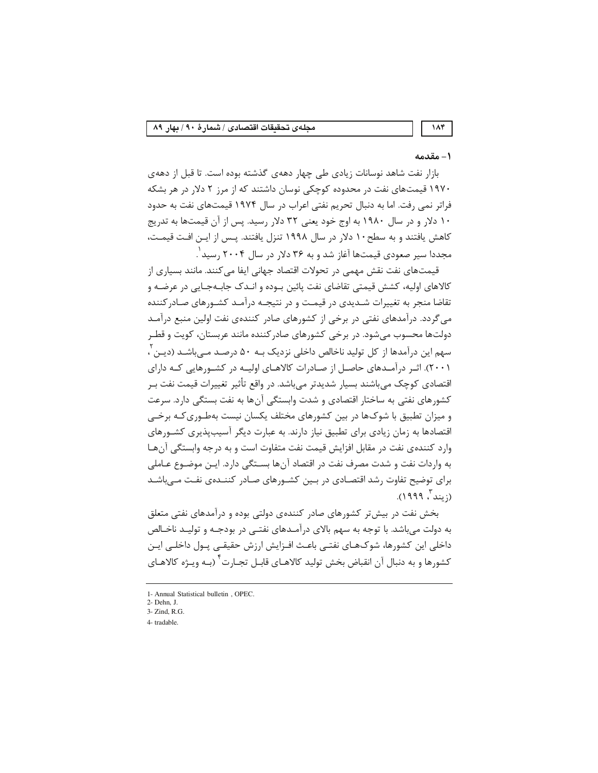# ۱ – مقدمه

۱۸۴

بازار نفت شاهد نوسانات زیادی طی چهار دههی گذشته بوده است. تا قبل از دههی ۱۹۷۰ قیمتهای نفت در محدوده کوچکی نوسان داشتند که از مرز ۲ دلار در هر بشکه فراتر نمی رفت. اما به دنبال تحریم نفتی اعراب در سال ۱۹۷۴ قیمتهای نفت به حدود ۱۰ دلار و در سال ۱۹۸۰ به اوج خود یعنی ۳۲ دلار رسید. پس از آن قیمتها به تدریج كاهش يافتند و به سطح ١٠ دلار در سال ١٩٩٨ تنزل يافتند. يـس از ايـن افـت قيمـت، مجددا سير صعودي قيمتها آغاز شد و به ٣۶ دلار در سال ٢٠٠۴ رسيد ْ.

قیمتهای نفت نقش مهمی در تحولات اقتصاد جهانی ایفا می کنند. مانند بسیاری از کالاهای اولیه، کشش قیمتی تقاضای نفت پائین بـوده و انـدک جابـهجـایی در عرضـه و تقاضا منجر به تغییرات شـدیدی در قیمـت و در نتیجـه درآمـد کشـورهای صـادرکننده می گردد. درآمدهای نفتی در برخی از کشورهای صادر کنندهی نفت اولین منبع درآمـد دولتها محسوب می شود. در برخی کشورهای صادرکننده مانند عربستان، کویت و قطـر سهم این درآمدها از کل تولید ناخالص داخلی نزدیک بـه ۵۰ درصـد مـی،باشـد (دیـن ً، ۲۰۰۱). اثیر درآمیدهای حاصل از صیادرات کالاهیای اولییه در کشورهایی کیه دارای اقتصادی کوچک می،باشند بسیار شدیدتر می،باشد. در واقع تأثیر تغییرات قیمت نفت بـر کشورهای نفتی به ساختار اقتصادی و شدت وابستگی آنها به نفت بستگی دارد. سرعت و میزان تطبیق با شوکها در بین کشورهای مختلف یکسان نیست بهطـوریکـه برخـی اقتصادها به زمان زیادی برای تطبیق نیاز دارند. به عبارت دیگر آسیبپذیری کشـورهای وارد كننده ي نفت در مقابل افزايش قيمت نفت متفاوت است و به درجه وابستگي آن هـا به واردات نفت و شدت مصرف نفت در اقتصاد آنها بسـتگی دارد. ایـن موضـوع عـاملی برای توضیح تفاوت رشد اقتصـادی در بـین کشـورهای صـادر کننـدهی نفـت مـیباشـد (; بند ، ۱۹۹۹).

بخش نفت در بیش تر کشورهای صادر کنندهی دولتی بوده و درآمدهای نفتی متعلق به دولت میباشد. با توجه به سهم بالای درآمـدهای نفتـی در بودجـه و تولیـد ناخـالص داخلی این کشورها، شوکهـای نفتـی باعـث افـزایش ارزش حقیقـی پـول داخلـی ایـن کشورها و به دنبال آن انقباض بخش تولید کالاهـای قابـل تجـارت<sup>۲</sup> (بـه ویـژه کالاهـای

<sup>1-</sup> Annual Statistical bulletin, OPEC.

<sup>2-</sup> Dehn. J. 3- Zind, R.G.

<sup>4-</sup> tradable.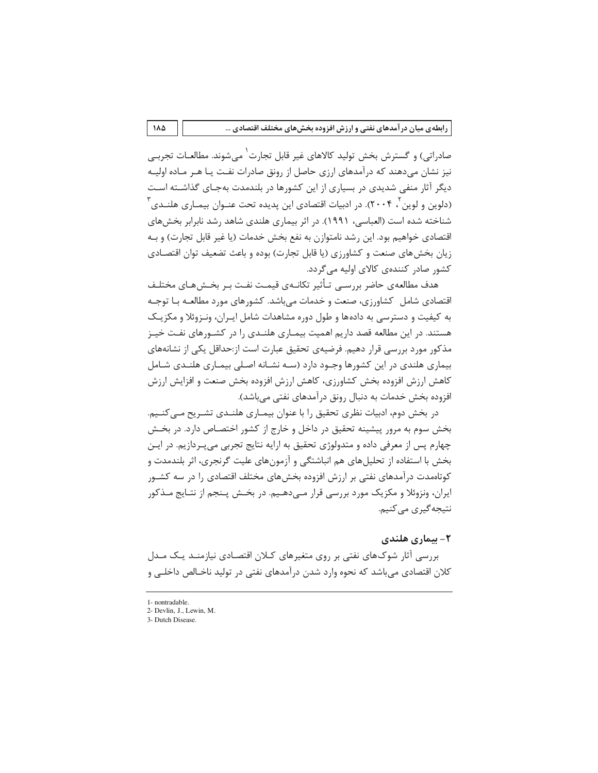صادراتی) و گسترش بخش تولید کالاهای غیر قابل تجارت ٰ می شوند. مطالعـات تجربــی نیز نشان میدهند که درآمدهای ارزی حاصل از رونق صادرات نفـت یـا هـر مـاده اولیـه دیگر آثار منفی شدیدی در بسیاری از این کشورها در بلندمدت بهجـای گذاشـته اسـت (دلوین و لوین ٔ ۲۰۰۴). در ادبیات اقتصادی این پدیده تحت عنــوان بیمــاری هلنــدی ٔ شناخته شده است (العباسي، ١٩٩١). در اثر بيماري هلندي شاهد رشد نابرابر بخشهاي اقتصادی خواهیم بود. این رشد نامتوازن به نفع بخش خدمات (یا غیر قابل تجارت) و بـه زيان بخش هاي صنعت و كشاورزي (يا قابل تجارت) بوده و باعث تضعيف توان اقتصـادي کشور صادر کنندهی کالای اولیه میگردد.

هدف مطالعهی حاضر بررسـی تـأثیر تکانــهی قیمـت نفـت بـر بخــش@عـای مختلـف اقتصادی شامل کشاورزی، صنعت و خدمات می باشد. کشورهای مورد مطالعـه بـا توجـه به کیفیت و دسترسی به دادهها و طول دوره مشاهدات شامل ایـران، ونـزوئلا و مکزیـک هستند. در این مطالعه قصد داریم اهمیت بیمـاری هلنـدی را در کشـورهای نفـت خیـز مذکور مورد بررسی قرار دهیم. فرضیهی تحقیق عبارت است از:حداقل یکی از نشانههای بیماری هلندی در این کشورها وجـود دارد (سـه نشـانه اصـلی بیمـاری هلنـدی شـامل كاهش ارزش افزوده بخش كشاورزى، كاهش ارزش افزوده بخش صنعت و افزايش ارزش افزوده بخش خدمات به دنبال رونق درآمدهای نفتی میباشد).

در بخش دوم، ادبیات نظری تحقیق را با عنوان بیمـاری هلنـدی تشـریح مـی کنـیم. بخش سوم به مرور پیشینه تحقیق در داخل و خارج از کشور اختصـاص دارد. در بخـش چهارم پس از معرفی داده و متدولوژی تحقیق به ارایه نتایج تجربی میپردازیم. در ایـن بخش با استفاده از تحلیل های هم انباشتگی و آزمون های علیت گرنجری، اثر بلندمدت و کوتاممدت درآمدهای نفتی بر ارزش افزوده بخشهای مختلف اقتصادی را در سه کشـور ایران، ونزوئلا و مکزیک مورد بررسی قرار مـیدهـیم. در بخـش پـنجم از نتـایج مـذکور نتيجه گيري مي کنيم.

## ۲- بیماری هلندی

بررسی آثار شوکهای نفتی بر روی متغیرهای کلان اقتصادی نیازمنـد یـک مـدل کلان اقتصادی می باشد که نحوه وارد شدن درآمدهای نفتی در تولید ناخـالص داخلـی و

<sup>1-</sup> nontradable.

<sup>2-</sup> Devlin, J., Lewin, M.

<sup>3-</sup> Dutch Disease.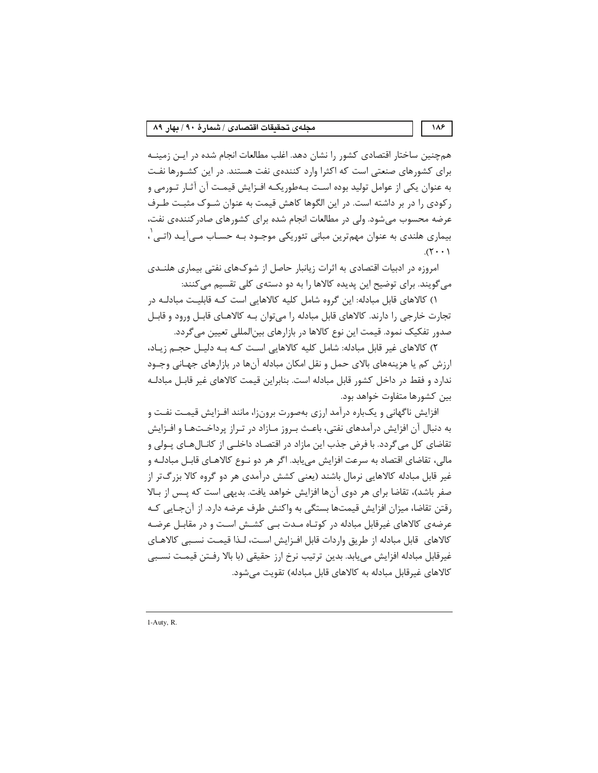همچنین ساختار اقتصادی کشور را نشان دهد. اغلب مطالعات انجام شده در ایـن زمینــه برای کشورهای صنعتی است که اکثرا وارد کنندهی نفت هستند. در این کشـورها نفـت به عنوان یکی از عوامل تولید بوده است بـهطوریکـه افـزایش قیمـت آن آثـار تـورمی و رکودی را در بر داشته است. در این الگوها کاهش قیمت به عنوان شـوک مثبـت طـرف عرضه محسوب می شود. ولی در مطالعات انجام شده برای کشورهای صادر کنندهی نفت، بیماری هلندی به عنوان مهمترین مبانی تئوریکی موجـود بـه حسـاب مـیآیـد (اتـی ٰ،  $(1 \cdot \cdot \tau)$ .

امروزه در ادبیات اقتصادی به اثرات زیانبار حاصل از شوکهای نفتی بیماری هلنـدی می گویند. برای توضیح این پدیده کالاها را به دو دستهی کلی تقسیم می کنند:

۱) کالاهای قابل مبادله: این گروه شامل کلیه کالاهایی است کـه قابلیـت مبادلـه در تجارت خارجی را دارند. کالاهای قابل مبادله را میتوان بـه کالاهـای قابـل ورود و قابـل صدور تفکیک نمود. قیمت این نوع کالاها در بازارهای بین|لمللی تعیین میگردد.

۲) کالاهای غیر قابل مبادله: شامل کلیه کالاهایی است کـه بـه دلیـل حجـم زیـاد، ارزش کم یا هزینههای بالای حمل و نقل امکان مبادله آنها در بازارهای جهـانی وجــود ندارد و فقط در داخل کشور قابل مبادله است. بنابراین قیمت کالاهای غیر قابـل مبادلـه بين كشورها متفاوت خواهد بود.

افزایش ناگهانی و یکباره درآمد ارزی بهصورت برونزا، مانند افـزایش قیمـت نفـت و به دنبال آن افزایش درآمدهای نفتی، باعـث بـروز مـازاد در تـراز پرداخـتهـا و افـزایش تقاضای کل می گردد. با فرض جذب این مازاد در اقتصاد داخلـی از کانــال۱صای پــولی و مالي، تقاضاي اقتصاد به سرعت افزايش مي يابد. اگر هر دو نـوع كالاهـاي قابـل مبادلـه و غیر قابل مبادله کالاهایی نرمال باشند (یعنی کشش درآمدی هر دو گروه کالا بزرگ تر از صفر باشد)، تقاضا برای هر دوی آنها افزایش خواهد یافت. بدیهی است که پـس از بـالا رقتن تقاضا، میزان افزایش قیمتها بستگی به واکنش طرف عرضه دارد. از آنجـایی کـه عرضهی کالاهای غیرقابل مبادله در کوتـاه مـدت بـی کشـش اسـت و در مقابـل عرضـه كالاهاى قابل مبادله از طريق واردات قابل افـزايش اسـت، لـذا قيمـت نسـبى كالاهـاى غیرقابل مبادله افزایش میLبابد. بدین ترتیب نرخ ارز حقیقی (با بالا رفـتن قیمـت نسـبی كالاهاي غيرقابل مبادله به كالاهاي قابل مبادله) تقويت مي شود.

1-Auty, R.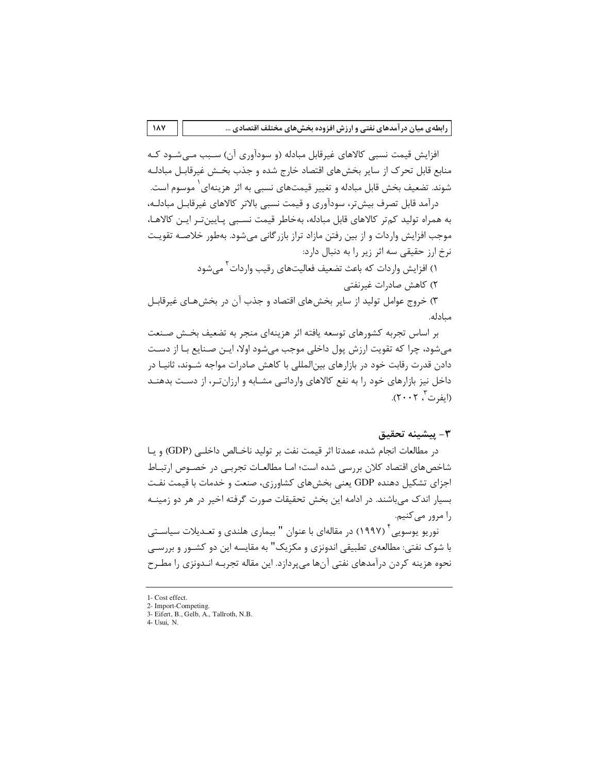افزایش قیمت نسبی کالاهای غیرقابل مبادله (و سودآوری آن) سـبب مـی٬شــود کــه منابع قابل تحرک از سایر بخشهای اقتصاد خارج شده و جذب بخـش غیرقابـل مبادلـه شوند. تضعیف بخش قابل مبادله و تغییر قیمتهای نسبی به اثر هزینهای ٰ موسوم است.

درآمد قابل تصرف بیشتر، سودآوری و قیمت نسبی بالاتر کالاهای غیرقابـل مبادلـه، به همراه تولید کمتر کالاهای قابل مبادله، بهخاطر قیمت نسبی پـایینتر ایـن کالاهـا، موجب افزایش واردات و از بین رفتن مازاد تراز بازرگانی میشود. بهطور خلاصـه تقویـت نرخ ارز حقیقی سه اثر زیر را به دنبال دارد:

١) افزایش واردات که باعث تضعیف فعالیتهای رقیب واردات ٰ می شود

۲) کاهش صادرات غیرنفتی

۳) خروج عوامل تولید از سایر بخش های اقتصاد و جذب آن در بخش هـای غیرقابـل مىادلە.

بر اساس تجربه کشورهای توسعه یافته اثر هزینهای منجر به تضعیف بخـش صـنعت میشود، چرا که تقویت ارزش پول داخلی موجب میشود اولا، ایـن صـنایع بـا از دسـت دادن قدرت رقابت خود در بازارهای بین|لمللی با کاهش صادرات مواجه شــوند، ثانیــا در داخل نیز بازارهای خود را به نفع کالاهای وارداتی مشـابه و ارزانتـر، از دسـت بدهنـد (ایفرت ، ۲۰۰۲).

#### ٣- پيشينه تحقيق

در مطالعات انجام شده، عمدتا اثر قيمت نفت بر توليد ناخـالص داخلـي (GDP) و يـا شاخصهای اقتصاد کلان بررسی شده است؛ امـا مطالعـات تجربـی در خصـوص ارتبــاط اجزای تشکیل دهنده GDP یعنی بخشهای کشاورزی، صنعت و خدمات با قیمت نفت بسیار اندک می باشند. در ادامه این بخش تحقیقات صورت گرفته اخیر در هر دو زمینـه را مرور مي كنيم.

نوریو یوسویی<sup>۴</sup> (۱۹۹۷) در مقالهای با عنوان " بیماری هلندی و تعـدیلات سیاسـتی با شوک نفتی: مطالعهی تطبیقی اندونزی و مکزیک" به مقایسه این دو کشــور و بررســی نحوه هزینه کردن درآمدهای نفتی آنها می پردازد. این مقاله تجربـه انــدونزی را مطــرح

 $\lambda$ 

<sup>1-</sup> Cost effect.

<sup>2-</sup> Import-Competing.

<sup>3-</sup> Eifert, B., Gelb, A., Tallroth, N.B.  $4-Usui. N.$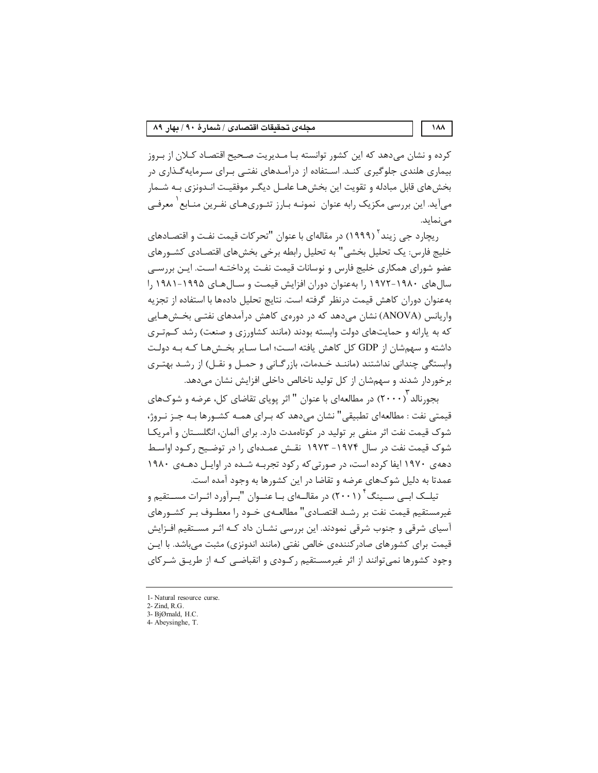کرده و نشان میدهد که این کشور توانسته بـا مـدیریت صـحیح اقتصـاد کـلان از بـروز بیماری هلندی جلوگیری کنـد. اسـتفاده از درآمـدهای نفتـی بـرای سـرمایهگـذاری در بخش های قابل مبادله و تقویت این بخش هـا عامــل دیگـر موفقیــت انــدونزی بــه شــمار میآید. این بررسی مکزیک رابه عنوان ِ نمونـه بـارز تئـوری۱هـای نفـرین منـابع ٰ معرفـی مے نماید.

ریچارد جی زیند ٔ (۱۹۹۹) در مقالهای با عنوان "تحرکات قیمت نفـت و اقتصـادهای خلیج فارس: یک تحلیل بخشی" به تحلیل رابطه برخی بخشهای اقتصـادی کشــورهای عضو شورای همکاری خلیج فارس و نوسانات قیمت نفت پرداختـه اسـت. ایـن بررسـی سال های ۱۹۸۰-۱۹۷۲ را بهعنوان دوران افزایش قیمت و سـال هـای ۱۹۹۵-۱۹۸۱ را بهعنوان دوران كاهش قيمت درنظر گرفته است. نتايج تحليل دادهها با استفاده از تجزيه واریانس (ANOVA) نشان میدهد که در دورهی کاهش درآمدهای نفتـی بخـشهـایی که به پارانه و حمایتهای دولت وابسته بودند (مانند کشاورزی و صنعت) رشد کـمتـری داشته و سهمشان از GDP کل کاهش یافته است؛ امـا سـایر بخـشهـا کـه بـه دولـت وابستگی چندانی نداشتند (ماننـد خـدمات، بازرگـانی و حمـل و نقـل) از رشـد بهتـری برخوردار شدند و سهمشان از کل تولید ناخالص داخلی افزایش نشان میدهد.

بجو, نالد ۳۰۰۰) در مطالعهای با عنوان " اثر پویای تقاضای کل، عرضه و شوکهای قيمتي نفت : مطالعهاي تطبيقي" نشان مي دهد كه بـراي همــه كشـورها بـه جـز نـروژ، شوک قیمت نفت اثر منفی بر تولید در کوتاهمدت دارد. برای آلمان، انگلسـتان و آمریکـا شوک قیمت نفت در سال ۱۹۷۴– ۱۹۷۳ نقـش عمـدهای را در توضـیح رکـود اواسـط دههی ۱۹۷۰ ایفا کرده است، در صورتی که رکود تجربـه شـده در اوایـل دهـهی ۱۹۸۰ عمدتا به دلیل شوکهای عرضه و تقاضا در این کشورها به وجود آمده است.

تیلــک ابــی ســینگ ۲ (۲۰۰۱) در مقالــهای بــا عنــوان "بــرآورد اثــرات مســتقیم و غیرمستقیم قیمت نفت بر رشـد اقتصـادی" مطالعـهی خـود را معطـوف بـر کشـورهای آسیای شرقی و جنوب شرقی نمودند. این بررسی نشـان داد کـه اثـر مسـتقیم افـزایش قیمت برای کشورهای صادر کنندهی خالص نفتی (مانند اندونزی) مثبت میباشد. با ایـن وجود کشورها نمی توانند از اثر غیرمسـتقیم رکـودی و انقباضـی کـه از طریـق شـرکای

<sup>1-</sup> Natural resource curse

<sup>2-</sup> Zind, R.G.

<sup>3-</sup> BjØrnald, H.C. 4- Abeysinghe, T.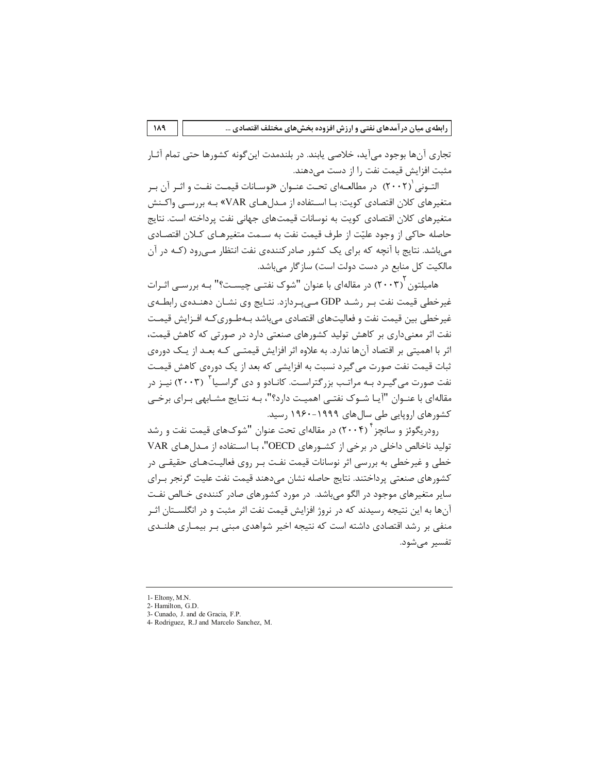تجاري آنها بوجود مي∫يد، خلاصي پابند. در بلندمدت اين گونه كشورها حتى تمام آثـار مثبت افزایش قیمت نفت را از دست میدهند.

التـوني (٢٠٠٢) در مطالعـهاي تحـت عنـوان «وسـانات قيمـت نفـت و اثـر آن بـر متغیرهای کلان اقتصادی کویت: بـا اسـتفاده از مـدلهـای VAR» بـه بررسـی واکـنش متغیرهای کلان اقتصادی کویت به نوسانات قیمتهای جهانی نفت پرداخته است. نتایج حاصله حاکی از وجود علیّت از طرف قیمت نفت به سـمت متغیرهـای کـلان اقتصـادی می باشد. نتایج با آنچه که برای یک کشور صادرکنندهی نفت انتظار مـی رود (کـه در آن مالکیت کل منابع در دست دولت است) سازگار می باشد.

هامیلتون ۲۰۰۳) در مقالهای با عنوان "شوک نفتـی چیسـت؟" بـه بررسـی اثـرات غیرخطی قیمت نفت بـر رشـد GDP مـیِبـردازد. نتـایج وی نشـان دهنـدهی رابطـهی غیرخطی بین قیمت نفت و فعالیتهای اقتصادی میباشد بـهطـوریکـه افـزایش قیمـت نفت اثر معنیداری بر کاهش تولید کشورهای صنعتی دارد در صورتی که کاهش قیمت، اثر با اهمیتی بر اقتصاد آنها ندارد. به علاوه اثر افزایش قیمتـی کـه بعـد از یـک دورهی ثبات قیمت نفت صورت می گیرد نسبت به افزایشی که بعد از یک دورهی کاهش قیمـت نفت صورت می گیـرد بـه مراتـب بزرگتراسـت. کانـادو و دی گراسـیا<sup>۳</sup> (۲۰۰۳) نیـز در مقالهای با عنـوان "آیـا شـوک نفتـی اهمیـت دارد؟"، بـه نتـایج مشـابهی بـرای برخـی کشورهای اروپایی طی سال های ۱۹۹۹–۱۹۶۰ , سید.

رودریگوئز و سانچز ۲۰۰۴) در مقالهای تحت عنوان "شوکهای قیمت نفت و رشد تولید ناخالص داخلی در برخی از کشورهای OECD"، بـا اسـتفاده از مـدل هـای VAR خطی و غیرخطی به بررسی اثر نوسانات قیمت نفـت بـر روی فعالیـتهـای حقیقـی در كشورهاي صنعتي پرداختند. نتايج حاصله نشان ميدهند قيمت نفت عليت گرنجر بـراي سایر متغیرهای موجود در الگو می باشد. در مورد کشورهای صادر کنندهی خـالص نفـت آنها به این نتیجه رسیدند که در نروژ افزایش قیمت نفت اثر مثبت و در انگلســتان اثـر منفی بر رشد اقتصادی داشته است که نتیجه اخیر شواهدی مبنی بـر بیمـاری هلنـدی تفسیر مے شود.

<sup>1-</sup> Eltony, M.N.

<sup>2-</sup> Hamilton, G.D.

<sup>3-</sup> Cunado, J. and de Gracia, F.P.

<sup>4-</sup> Rodriguez, R.J and Marcelo Sanchez, M.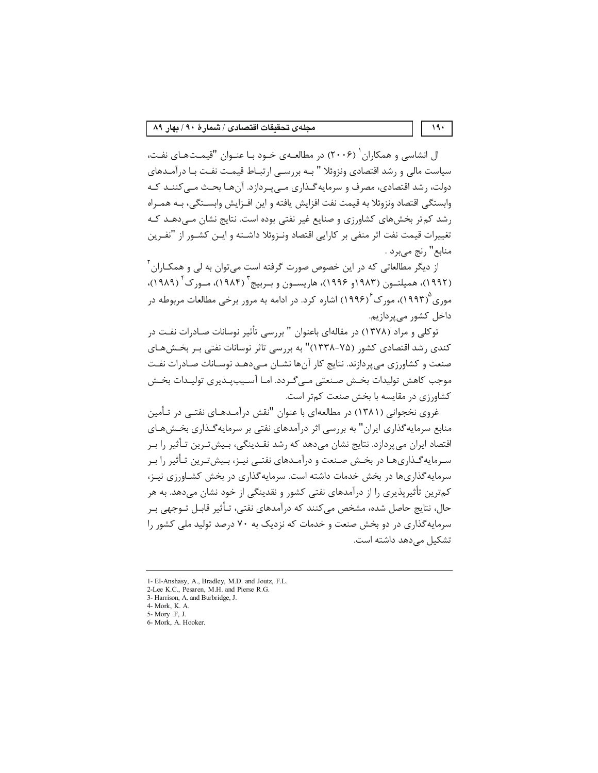ال انشاسی و همکاران <sup>(</sup> (۲۰۰۶) در مطالعـهی خـود بـا عنـوان "قیمـتهـای نفـت، سیاست مالی و رشد اقتصادی ونزوئلا " بـه بررسـی ارتبـاط قیمـت نفـت بـا درآمـدهای دولت، رشد اقتصادی، مصرف و سرمایه گـذاری مـی بـردازد. آنهـا بحـث مـی کننـد کـه وابستگی اقتصاد ونزوئلا به قیمت نفت افزایش یافته و این افـزایش وابسـتگی، بـه همـراه رشد کم تر بخشهای کشاورزی و صنایع غیر نفتی بوده است. نتایج نشان مےدهـد کـه تغييرات قيمت نفت اثر منفى بر كارايي اقتصاد ونـزوئلا داشــته و ايــن كشــور از "نفــرين منابع" رنج مي برد .

از دیگر مطالعاتی که در این خصوص صورت گرفته است می توان به لی و همکـاران <sup>۲</sup> (۱۹۹۲)، همیلتـون (۱۹۸۳و ۱۹۹۶)، هاریسـون و بـربیج (۱۹۸۴)، مـورک (۱۹۸۹)، موری ۱۹۹۳)، مورک ۲۹۹۶) اشاره کرد. در ادامه به مرور برخی مطالعات مربوطه در داخل کشور مے پردازیم.

توکلی و مراد (۱۳۷۸) در مقالهای باعنوان " بررسی تأثیر نوسانات صـادرات نفـت در کندی رشد اقتصادی کشور (۷۵-۱۳۳۸)" به بررسی تاثر نوسانات نفتی بـر بخـشهـای صنعت و کشاورزی می پردازند. نتایج کار آنها نشـان مـی‹هـد نوسـانات صـادرات نفـت موجب كاهش توليدات بخـش صـنعتي مـي گـردد. امـا آسـيبيـذيري توليـدات بخـش کشاورزی در مقایسه با بخش صنعت کمتر است.

غروی نخجوانی (۱۳۸۱) در مطالعهای با عنوان "نقش درآمـدهـای نفتـی در تـأمین منابع سرمایه گذاری ایران" به بررسی اثر درآمدهای نفتی بر سرمایه گـذاری بخـش۱مای اقتصاد ایران می پردازد. نتایج نشان می۵هد که رشد نقـدینگی، بـیشتـرین تـأثیر را بـر سـرمایه گــذاریهـا در بخــش صـنعت و درآمــدهای نفتــی نیــز، بـیش تـرین تـأثیر را بـر سرمایه گذاری ها در یخش خدمات داشته است. سرمایه گذاری در یخش کشباورزی نیـز، کمترین تأثیریذیری را از درآمدهای نفتی کشور و نقدینگی از خود نشان میدهد. به هر حال، نتايج حاصل شده، مشخص مي كنند كه درآمدهاي نفتي، تـأثير قابـل تـوجهي بـر سرمایه گذاری در دو بخش صنعت و خدمات که نزدیک به ۷۰ درصد تولید ملی کشور را تشکیل می دهد داشته است.

 $19.$ 

<sup>1-</sup> El-Anshasy, A., Bradley, M.D. and Joutz, F.L.

<sup>2-</sup>Lee K.C., Pesaren, M.H. and Pierse R.G.

<sup>3-</sup> Harrison, A. and Burbridge, J. 4- Mork, K. A.

<sup>5-</sup> Mory .F. J.

<sup>6-</sup> Mork, A. Hooker.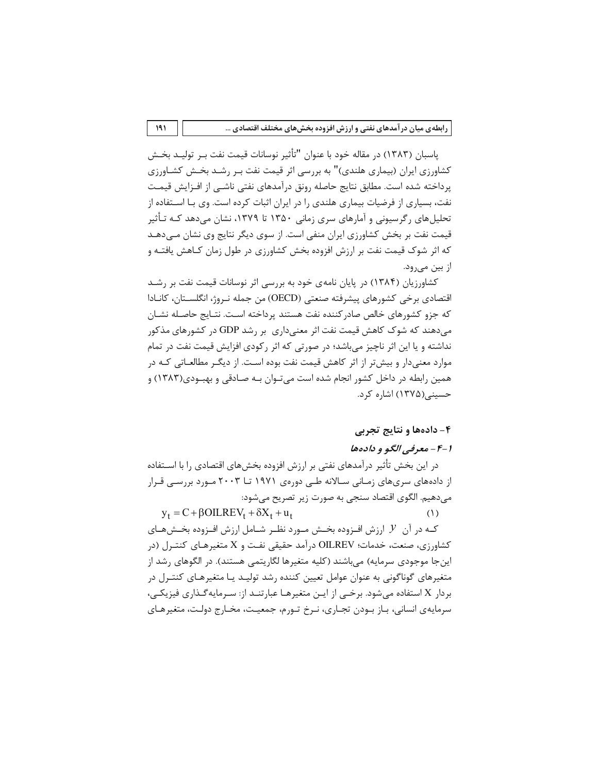ياسبان (١٣٨٣) در مقاله خود با عنوان "تأثير نوسانات قيمت نفت بـر توليـد بخـش کشاورزی ایران (بیماری هلندی)" به بررسی اثر قیمت نفت بـر رشـد بخـش کشـاورزی پرداخته شده است. مطابق نتایج حاصله رونق درآمدهای نفتی ناشـی از افــزایش قیمـت نفت، بسیاری از فرضیات بیماری هلندی را در ایران اثبات کرده است. وی بـا اســتفاده از تحلیل های رگرسیونی و آمارهای سری زمانی ۱۳۵۰ تا ۱۳۷۹، نشان می دهد کـه تـأثیر قیمت نفت بر بخش کشاورزی ایران منفی است. از سوی دیگر نتایج وی نشان مـی‹هـد که اثر شوک قیمت نفت بر ارزش افزوده بخش کشاورزی در طول زمان کـاهش یافتـه و از بین می,رود.

کشاورزیان (۱۳۸۴) در پایان نامهی خود به بررسی اثر نوسانات قیمت نفت بر رشـد اقتصادی برخی کشورهای پیشرفته صنعتی (OECD) من جمله نـروژ، انگلســتان، کانــادا که جزو کشورهای خالص صادر کننده نفت هستند پرداخته اسـت. نتـايج حاصـله نشـان می دهند که شوک کاهش قیمت نفت اثر معنی داری بر رشد GDP در کشورهای مذکور نداشته و یا این اثر ناچیز می باشد؛ در صورتی که اثر رکودی افزایش قیمت نفت در تمام موارد معنیدار و بیشتر از اثر کاهش قیمت نفت بوده است. از دیگـر مطالعـاتی کـه در همین رابطه در داخل کشور انجام شده است می تـوان بـه صـادقی و بهبـودی(۱۳۸۳) و حسینے (۱۳۷۵) اشارہ کرد.

## ۴- دادهها و نتایج تجربی

#### ۱-۴ - معرفي الگو و دادهها

در این بخش تأثیر درآمدهای نفتی بر ارزش افزوده بخشهای اقتصادی را با اسـتفاده از دادههای سریهای زمـانی سـالانه طـی دورهی ۱۹۷۱ تــا ۲۰۰۳ مـورد بررسـی قـرار می،دهیم. الگوی اقتصاد سنجی به صورت زیر تصریح میشود:

 $y_t = C + \beta OILREV_t + \delta X_t + u_t$  $(1)$ 

کـه در آن  $\mathcal Y$  ارزش افـزوده بخـش مـورد نظـر شـامل ارزش افـزوده بخـش@ـای کشاورزی، صنعت، خدمات؛ OILREV درآمد حقیقی نفت و X متغیرهـای کنتـرل (در اینجا موجودی سرمایه) میباشند (کلیه متغیرها لگاریتمی هستند). در الگوهای رشد از متغیرهای گوناگونی به عنوان عوامل تعیین کننده رشد تولیـد یـا متغیرهـای کنتـرل در بردار X استفاده می شود. برخــی از ایــن متغیرهـا عبارتنــد از: سـرمایه *گــ*ذاری فیزیکــی، سرمايەي انسانى، بـاز بـودن تجـارى، نـرخ تـورم، جمعيـت، مخـارج دولـت، متغيرهـاي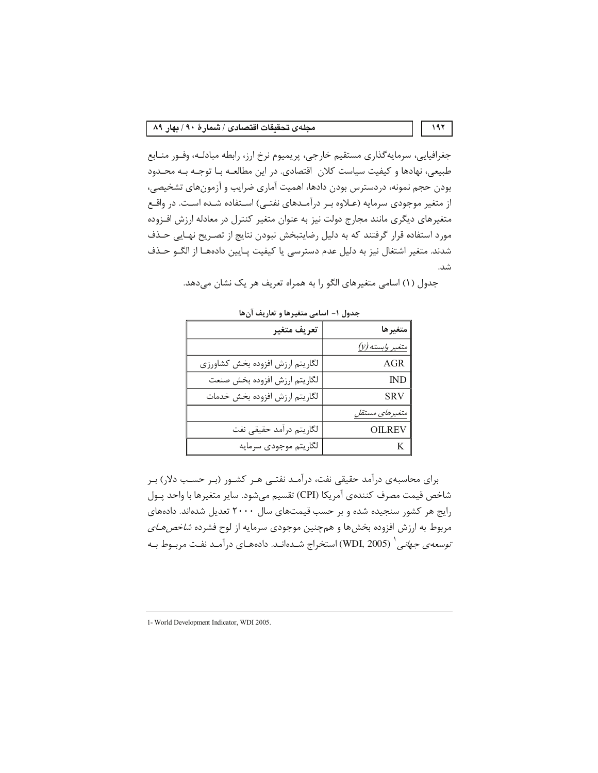جغرافیایی، سرمایهگذاری مستقیم خارجی، پریمیوم نرخ ارز، رابطه مبادلـه، وفـور منـابع طبیعی، نهادها و کیفیت سیاست کلان اقتصادی. در این مطالعـه بـا توجـه بـه محـدود بودن حجم نمونه، دردسترس بودن دادها، اهميت آماري ضرايب و آزمونهاي تشخيصي، از متغیر موجودی سرمایه (عـلاوه بـر درآمـدهای نفتـی) اسـتفاده شـده اسـت. در واقـع متغیرهای دیگری مانند مجارج دولت نیز به عنوان متغیر کنترل در معادله ارزش افـزوده مورد استفاده قرار گرفتند که به دلیل رضایتبخش نبودن نتایج از تصـریح نهـایی حـذف شدند. متغیر اشتغال نیز به دلیل عدم دسترسی یا کیفیت پـایین دادههـا از الگــو حــذف شد.

| جدول ۱- اسامی متغیرها و تعاریف آنها |                         |  |  |  |
|-------------------------------------|-------------------------|--|--|--|
| تعريف متغير                         | متغيرها                 |  |  |  |
|                                     | متغير <i>وابسته (y)</i> |  |  |  |
| لگاريتم ارزش افزوده بخش كشاورزى     | <b>AGR</b>              |  |  |  |
| لگاريتم ارزش افزوده بخش صنعت        | $\mathbb{N}\mathbb{D}$  |  |  |  |
| لگاريتم ارزش افزوده بخش خدمات       | SRV                     |  |  |  |
|                                     | متغيرهاي مستقل          |  |  |  |
| لگاريتم درآمد حقيقى نفت             | OILREV                  |  |  |  |
| لگاريتم موجودي سرمايه               | K                       |  |  |  |

جدول (١) اسامي متغيرهاي الگو را به همراه تعريف هر يک نشان مي دهد.

برای محاسبهی درآمد حقیقی نفت، درآمـد نفتـی هـر کشـور (بـر حسـب دلار) بـر شاخص قيمت مصرف كنندهي آمريكا (CPI) تقسيم مي شود. ساير متغيرها با واحد يـول رایج هر کشور سنجیده شده و بر حسب قیمتهای سال ۲۰۰۰ تعدیل شدهاند. دادههای مربوط به ارزش افزوده بخشها و همچنین موجودی سرمایه از لوح فشرده *شاخصهـای توسعه ی جهانی \ (*WDI, 2005) استخراج شـدهانـد. دادههـای درآمـد نفـت مربـوط بـه

<sup>1-</sup> World Development Indicator, WDI 2005.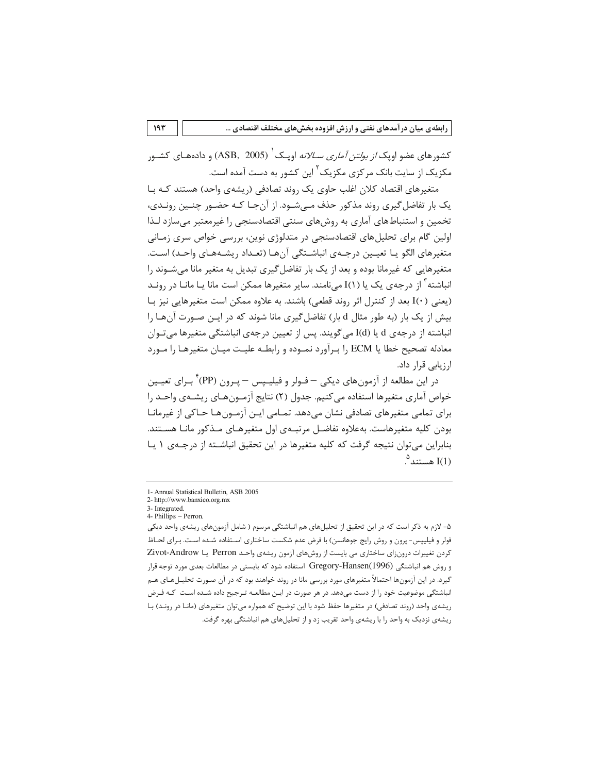کشورهای عضو اویک *از بولتن آماری ســالانه* اویـک<sup>'</sup> (ASB, 2005) و دادههـای کشــور مکزیک از سایت بانک مرکزی مکزیک<sup>۲</sup> این کشور به دست آمده است.

متغیرهای اقتصاد کلان اغلب حاوی یک روند تصادفی (ریشهی واحد) هستند کـه بـا یک بار تفاضل گیری روند مذکور حذف مے شـود. از آن جـا کـه حضـور چنـین رونـدی، تخمین و استنباطهای آماری به روشهای سنتی اقتصادسنجی را غیرمعتبر میسازد لـذا اولین گام برای تحلیلهای اقتصادسنجی در متدلوژی نوین، بررسی خواص سری زمـانی متغيرهاي الگو يـا تعيـين درجـهي انباشـتگي آنهـا (تعـداد ريشـههـاي واحـد) اسـت. متغیرهایی که غیرمانا بوده و بعد از یک بار تفاضل گیری تبدیل به متغیر مانا می شوند را انباشته<sup>۳</sup> از درجهی یک یا (۱)I میiامند. سایر متغیرها ممکن است مانا یـا مانـا در رونـد (يعني I(۰) بعد از كنترل اثر روند قطعي) باشند. به علاوه ممكن است متغيرهايي نيز بـا بیش از یک بار (به طور مثال d بار) تفاضل *گ*یری مانا شوند که در ایـن صـورت آنهـا را انباشته از درجهی d یا (I(d می5ویند. پس از تعیین درجهی انباشتگی متغیرها میتوان معادله تصحیح خطا یا ECM را بـرآورد نمـوده و رابطـه علیـت میـان متغیرهـا را مـورد ارزیابے قرار داد.

در این مطالعه از آزمونهای دیکی – فـولر و فیلیـپس – یـرون (PP) ٔ بـرای تعیـین خواص آماري متغيرها استفاده مي كنيم. جدول (٢) نتايج آزمــون هـاي ريشــەي واحــد را برای تمامی متغیرهای تصادفی نشان میدهد. تمـامی ایـن آزمـونهـا حـاکی از غیرمانـا بودن كليه متغيرهاست. بهعلاوه تفاضـل مرتبــهى اول متغيرهـاى مــذكور مانــا هســتند. بنابراین می توان نتیجه گرفت که کلیه متغیرها در این تحقیق انباشته از درجـهی ۱ یـا  $\degree$ هستند  $\hspace{.1cm} \hat{ }$ 

۵- لازم به ذکر است که در این تحقیق از تحلیلهای هم انباشتگی مرسوم ( شامل آزمونهای ریشهی واحد دیکی فولر و فیلیپس- پرون و روش رایج جوهانسن) با فرض عدم شکست ساختاری اسـتفاده شـده اسـت. بـرای لحـاظ کردن تغییرات درونزای ساختاری می بایست از روش های آزمون ریشهی واحد Perron یا Zivot-Androw و روش هم انباشتگی Gregory-Hansen(1996) استفاده شود که بایستی در مطالعات بعدی مورد توجه قرار گیرد. در این آزمونها احتمالاً متغیرهای مورد بررسی مانا در روند خواهند بود که در آن صـورت تحلیــلهــای هــم انباشتگی موضوعیت خود را از دست میدهد. در هر صورت در ایـن مطالعـه تـرجیح داده شـده اسـت کـه فـرض ریشهی واحد (روند تصادفی) در متغیرها حفظ شود با این توضیح که همواره میتوان متغیرهای (مانـا در رونـد) بـا ریشهی نزدیک به واحد را با ریشهی واحد تقریب زد و از تحلیلهای هم انباشتگی بهره گرفت.

<sup>1-</sup> Annual Statistical Bulletin, ASB 2005

<sup>2-</sup> http://www.banxico.org.mx 3- Integrated

<sup>4-</sup> Phillips - Perron.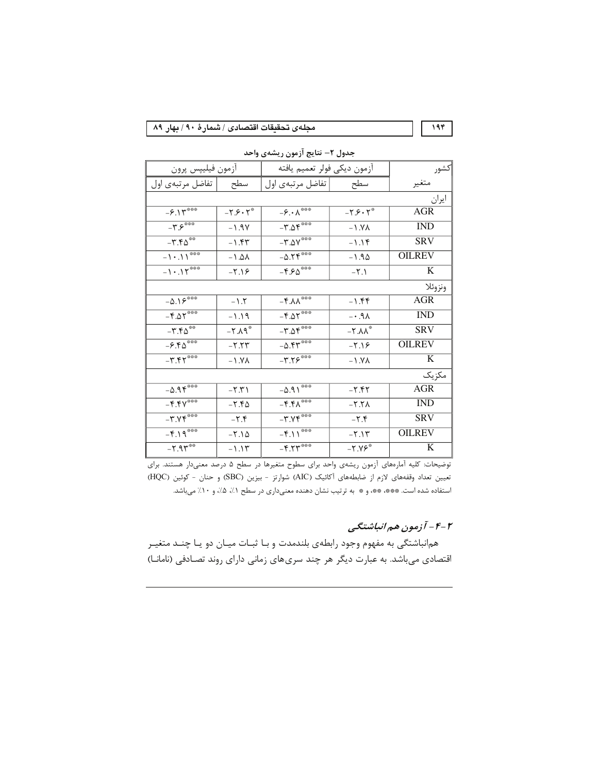مجلهى تحقيقات اقتصادى / شمارهٔ ٩٠ / بهار ٨٩

۔<br>اکشور أزمون ديكي فولر تعميم يافته أزمون فيليپس پرون سطح تفاضل مرتبهي اول تفاضل مرتبهي اول متغير سطح ايران  $-8.14$  $-\hat{\boldsymbol{\gamma}}\cdot\overline{\boldsymbol{\lambda}^{***}}$  $-Y.S. Y^*$  $-Y.S. Y^*$ **AGR**  $-\overline{\Upsilon\mathcal{S}^{***}}$  $-\Gamma.\Delta \Gamma***$  $-1.9V$ **IND**  $-1.9<sub>\Lambda</sub>$  $-\overline{\Gamma.\Delta V}$  $-T.f\Delta$  $SRV$  $-1.54$  $-1.19$  $-0.19$  $-1.11***$ **OILREV**  $-1.4\lambda$  $-1.90$  $-1.15***$  $-F.50***$  $\overline{K}$  $-7.19$  $-\Upsilon$ .) ونزوئلا  $-\Delta.19$  $-F.\lambda\lambda***$ **AGR**  $-1.7$  $-1.55$  $-F.\Delta Y$  $-F.\Delta Y$  $\overline{\text{IND}}$  $AP. -1.19$  $-\mathbf{r}.\Delta \mathbf{r}$  $-\mathbf{r} \cdot \mathbf{r} \Delta^{**}$ **SRV**  $-X.A.$  $-Y.AA^*$  $-0.51$  $-F.\mathsf{F}\Delta^{\ast\ast\ast}$ **OILREV**  $-Y.YY$  $-7.19$  $-\overline{r}.\overline{r}$  $-\tau.75***$  $\overline{\mathbf{K}}$  $-1.9<sub>A</sub>$  $-1.9<sub>A</sub>$ مكزيك  $-0.95***$  $-0.91$  $AGR$  $-\Upsilon.\Upsilon$  $-7.57$  $-F.$  $Y^*$  $-F.F\Lambda$  $\overline{\text{IND}}$  $-Y.f\Delta$  $-5.7<sub>A</sub>$  $-\mathbf{r}.\mathbf{v}$  $-\mathbf{r}.\mathbf{v}\mathbf{v}$ **SRV**  $-\Upsilon.\Upsilon$  $-\mathbf{y}.\mathbf{y}$  $-F.19***$  $-F.11***$ **OILREV**  $-Y.\lambda \Delta$  $-Y.1Y$  $-7.91***$  $-F.54$  $\overline{K}$  $-Y.YF^*$  $-1.15$ 

جدول ٢– نتايج آزمون ريشهى واحد

توضیحات: کلیه آمارههای آزمون ریشهی واحد برای سطوح متغیرها در سطح ۵ درصد معنیدار هستند. برای تعيين تعداد وقفههاى لازم از ضابطههاى آكائيك (AIC) شوارتز - بيزين (SBC) و حنان - كوئين (HQC) استفاده شده است. \*\*\* \*\*\* و\* به ترتيب نشان دهنده معنى دارى در سطح ١/، ١/٥/، و ١٠/ مى باشد.

# ۴-۴- آزمون هم انباشتگی

هم|نباشتگی به مفهوم وجود رابطهی بلندمدت و بـا ثبـات ميـان دو يـا چنـد متغيـر اقتصادی میباشد. به عبارت دیگر هر چند سریهای زمانی دارای روند تصادفی (نامانا)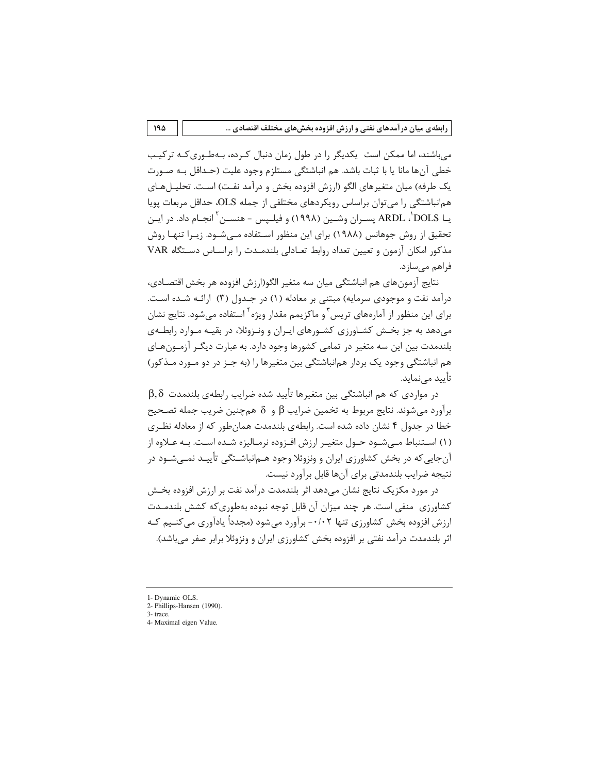می باشند، اما ممکن است یکدیگر را در طول زمان دنبال کـرده، بـهطـوری کـه تر کیـب خطي آنها مانا يا با ثبات باشد. هم انباشتگي مستلزم وجود عليت (حـداقل بـه صـورت یک طرفه) میان متغیرهای الگو (ارزش افزوده بخش و درآمد نفت) است. تحلیــلهــای همانباشتگی را می توان براساس رویکردهای مختلفی از جمله OLS، حداقل مربعات یویا يــا ARDL ، DOLS يســران وشــين (١٩٩٨) و فيلــيس - هنســن <sup>٦</sup> انجــام داد. در ايــن تحقیق از روش جوهانس (۱۹۸۸) برای این منظور اسـتفاده مـی شـود. زیـرا تنهـا روش مذکور امکان آزمون و تعیین تعداد روابط تعـادلی بلندمـدت را براسـاس دسـتگاه VAR فراهم مے ساز د.

نتايج آزمون هاي هم انباشتگي ميان سه متغير الگو(ارزش افزوده هر بخش اقتصـادي، درآمد نفت و موجودی سرمایه) مبتنی بر معادله (۱) در جـدول (۳) ارائـه شـده اسـت. برای این منظور از آمارههای تریس<sup>۳</sup> و ماکزیمم مقدار ویژه<sup>۴</sup> استفاده می شود. نتایج نشان می دهد به جز بخـش کشـاورزی کشـورهای ایـران و ونـزوئلا، در بقیـه مـوارد رابطـهی بلندمدت بین این سه متغیر در تمامی کشورها وجود دارد. به عبارت دیگـر آزمـونِ هـای هم انباشتگی وجود یک بردار همانباشتگی بین متغیرها را (به جـز در دو مـورد مـذکور) ِ تأیید مے نماید.

 $\beta,\delta$  در مواردی که هم انباشتگے بین متغیرها تأیید شده ضرایب رابطهی بلندمدت برآورد می شوند. نتایج مربوط به تخمین ضرایب  $\beta$  و  $\delta$  هم چنین ضریب جمله تصـحیح خطا در جدول ۴ نشان داده شده است. رابطهی بلندمدت همان طور که از معادله نظـری (۱) استنباط مے شود حـول متغیـر ارزش افـزوده نرمـالیزه شـده اسـت. بـه عـلاوه از آنجایی که در بخش کشاورزی ایران و ونزوئلا وجود هـمانباشــتگی تأییـد نمــیشـود در نتيجه ضرايب بلندمدتي براي آنها قابل برآورد نيست.

در مورد مکزیک نتایج نشان میدهد اثر بلندمدت درآمد نفت بر ارزش افزوده بخـش کشاورزی ِ منفی است. هر چند میزان آن قابل توجه نبوده بهطوری که کشش بلندمـدت ارزش افزوده بخش کشاورزی تنها ۰/۰۲- برآورد می شود (مجدداً یادآوری می کنـیم کـه اثر بلندمدت درآمد نفتی بر افزوده بخش کشاورزی ایران و ونزوئلا برابر صفر میباشد).

<sup>1-</sup> Dynamic OLS.

<sup>2-</sup> Phillips-Hansen (1990). 3- trace.

<sup>4-</sup> Maximal eigen Value.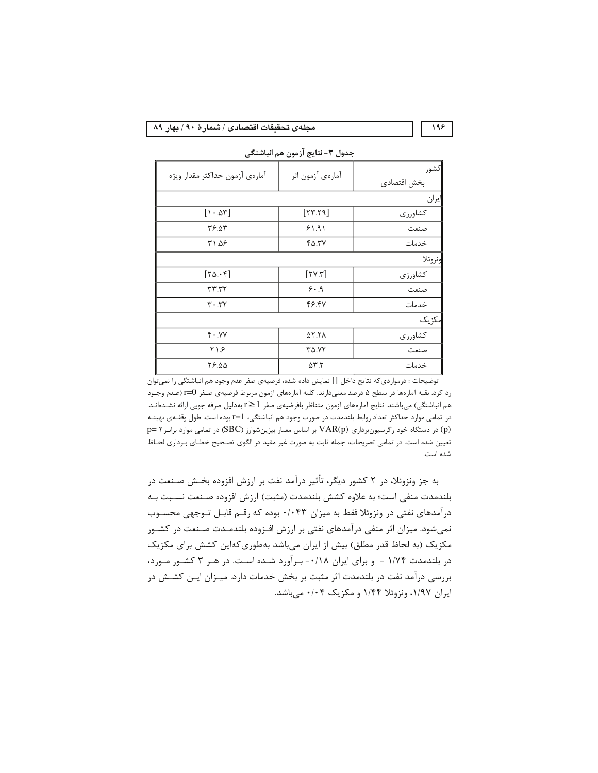#### مجلهى تحقيقات اقتصادى / شىمارهٔ ٩٠ / بهار ٨٩

كشور آمارهي آزمون حداكثر مقدار ويژه آمارەي آزمون اثر بخش اقتصادى يران كشاورزي  $[\cdot \cdot \Delta \tau]$  $[YY,Y]$ ٣۶.٥٣  $91.91$ صنعت ۳۱.۵۶  $Y\Delta.YV$ خدمات نزوئلا  $[YY,Y]$  $[Y\Delta.\cdot f]$ كشاورزي  $rrrr$  $9.9$ صنعت  $Y \cdot .YY$ 49.47 خدمات یکز پک  $Y \cdot .YV$ **AT.TA** كشاورزى  $Y \setminus S$  $T\Delta.YY$ صنعت ٢۶.۵۵  $\Delta \Upsilon$ . $\Upsilon$ خدمات

جدول ٣- نتايج آزمون هم انباشتگي

توضیحات : درمواردی که نتایج داخل [] نمایش داده شده، فرضیهی صفر عدم وجود هم انباشتگی را نمی توان رد کرد. بقیه آمارهها در سطح ۵ درصد معنیدارند. کلیه آمارههای آزمون مربوط فرضیهی صـفر I=O (عـدم وجـود هم انباشتگی) میباشند. نتایج آمارههای آزمون متناظر بافرضیهی صفر 1 ≤r بهدلیل صرفه جویی ارائه نشـدهانـد. در تمامی موارد حداکثر تعداد روابط بلندمدت در صورت وجود هم انباشتگی، 1=1 بوده است. طول وقفـهی بهینـه (p) در دستگاه خود رگرسیون وداری VAR(p) بر اساس معیار بیزین شوارز (SBC) در تمامی موارد برابر p= ۲ تعیین شده است. در تمامی تصریحات، جمله ثابت به صورت غیر مقید در الگوی تصـحیح خطـای بـرداری لحـاظ شده است.

به جز ونزوئلا، در ۲ کشور دیگر، تأثیر درآمد نفت بر ارزش افزوده بخـش صـنعت در بلندمدت منفي است؛ به علاوه كشش بلندمدت (مثبت) ارزش افزوده صـنعت نسـبت بـه درآمدهای نفتی در ونزوئلا فقط به میزان ۰/۰۴۳ بوده که رقـم قابـل تـوجهی محسـوب نمیشود. میزان اثر منفی درآمدهای نفتی بر ارزش افـزوده بلندمـدت صـنعت در کشـور مکزیک (به لحاظ قدر مطلق) بیش از ایران میباشد بهطوری کهاین کشش برای مکزیک در بلندمدت ۱/۷۴ - و برای ایران ۰/۱۸- بـرآورد شـده اسـت. در هـر ۳ کشـور مـورد، بررسی درآمد نفت در بلندمدت اثر مثبت بر بخش خدمات دارد. میـزان ایـن کشــش در ایران ۱/۹۷، ونزوئلا ۱/۴۴ و مکزیک ۰/۰۴ میباشد.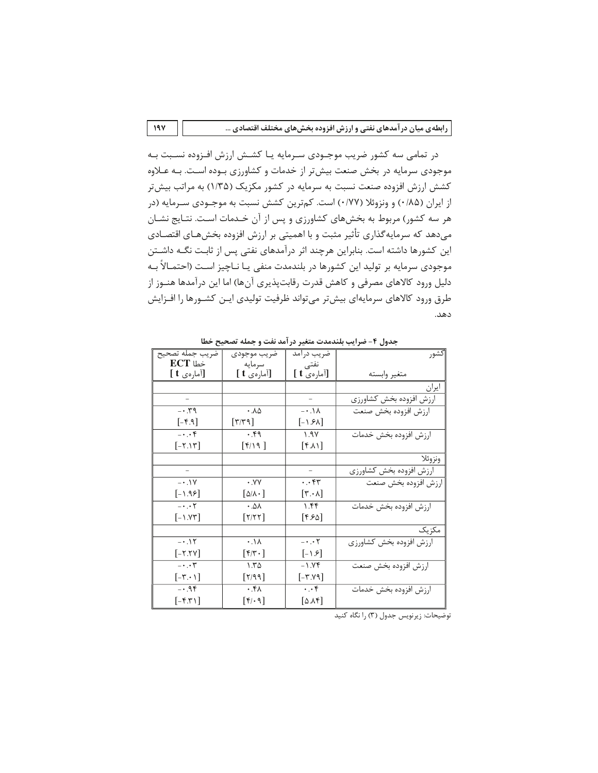در تمامی سه کشور ضریب موجـودی سـرمایه یـا کشـش ارزش افـزوده نسـبت بـه موجودی سرمایه در بخش صنعت بیشتر از خدمات و کشاورزی بـوده اسـت. بـه عـلاوه کشش ارزش افزوده صنعت نسبت به سرمایه در کشور مکزیک (۱/۳۵) به مراتب بیش تر از ایران (۱۸۵/۰) و ونزوئلا (۰/۷۷) است. کمترین کشش نسبت به موجـودی سـرمایه (در هر سه کشور) مربوط به بخشهای کشاورزی و پس از آن خـدمات اسـت. نتـایج نشـان میدهد که سرمایهگذاری تأثیر مثبت و با اهمیتی بر ارزش افزوده بخشهـای اقتصـادی این کشورها داشته است. بنابراین هرچند اثر درآمدهای نفتی پس از ثابت نگـه داشـتن موجودی سرمایه بر تولید این کشورها در بلندمدت منفی یـا نــاچیز اسـت (احتمــالاً بــه دلیل ورود کالاهای مصرفی و کاهش قدرت رقابتپذیری آنها) اما این درآمدها هنـوز از طرق ورود كالاهاى سرمايهاى بيش تر مى تواند ظرفيت توليدى ايـن كشـورها را افـزايش دهد.

| -یں ---<br>– سببر -ر           |                                                                           |                                 |                         |  |  |  |  |
|--------------------------------|---------------------------------------------------------------------------|---------------------------------|-------------------------|--|--|--|--|
| ضريب جمله تصحيح                | ضريب موجودي                                                               | ضریب درامد                      | كشور                    |  |  |  |  |
| $ECT$ خطا                      | سرمايه                                                                    | نفتى                            |                         |  |  |  |  |
| [آمارەى t ]                    | [آمارەى t ]                                                               | [آمارەي t ]                     | متغير وابسته            |  |  |  |  |
|                                |                                                                           |                                 | ايران                   |  |  |  |  |
|                                |                                                                           |                                 | ارزش افزوده بخش كشاورزى |  |  |  |  |
| $- \cdot 79$                   | .10                                                                       | $- \cdot \cdot \wedge$          | ارزش افزوده بخش صنعت    |  |  |  |  |
| $[-f.9]$                       | $[\Upsilon/\Upsilon \Upsilon]$                                            | $[-1.5\lambda]$                 |                         |  |  |  |  |
| $-\cdot$ . $\cdot$ $\uparrow$  | .49                                                                       | 1.9Y                            | ارزش افزوده بخش خدمات   |  |  |  |  |
| $[-7.17]$                      | $[\mathfrak{f}/\mathfrak{h}$ ]                                            | $[\uparrow \wedge \wedge]$      |                         |  |  |  |  |
|                                |                                                                           |                                 | ونزوئلا                 |  |  |  |  |
|                                |                                                                           |                                 | ارزش افزوده بخش كشاورزى |  |  |  |  |
| $-0.1$                         | $\cdot$ . $\vee\vee$                                                      | ۰.۰۴۳                           | ارزش افزوده بخش صنعت    |  |  |  |  |
| $[-1.95]$                      | $ \Delta/\lambda \cdot $                                                  | $[\mathsf{r}\cdot\mathsf{v}]$   |                         |  |  |  |  |
| $- \cdot \cdot \tau$           | $\cdot$ . $\Delta\lambda$                                                 | ۱.۴۴                            | ارزش افزوده بخش خدمات   |  |  |  |  |
| $[-1.77]$                      | $[\Upsilon/\Upsilon\Upsilon]$                                             | $[$ ۴.۶۵ $]$                    |                         |  |  |  |  |
|                                |                                                                           |                                 | مكزيك                   |  |  |  |  |
| $-0.15$                        | $\cdot \Lambda$                                                           | $- \cdot \cdot \tau$            | ارزش افزوده بخش كشاورزى |  |  |  |  |
| $[-Y.7Y]$                      | $[\mathfrak{f} \mathfrak{f} \mathfrak{r} \mathfrak{f} \mathfrak{f}$ . $]$ | $[-1.8]$                        |                         |  |  |  |  |
| $-\cdot \cdot \tau$            | 1.70                                                                      | ۷۴- -                           | ارزش افزوده بخش صنعت    |  |  |  |  |
| $[-\mathsf{r}\cdot\mathsf{v}]$ | $\lceil \Upsilon / 99 \rceil$                                             | $[-r.\vee\gamma]$               |                         |  |  |  |  |
| $-0.95$                        | $\cdot$ . $4\lambda$                                                      | $\cdot \cdot \cdot$ ۴           | ارزش افزوده بخش خدمات   |  |  |  |  |
| $[-f, f']$                     | $[\mathfrak{f}/\mathfrak{e}\mathfrak{q}]$                                 | $[\Delta \Lambda \mathfrak{r}]$ |                         |  |  |  |  |

حدول ۴- ضراب بلندمدت متغير درآمد نفت و حمله تصحيح خطا

توضیحات: زیرنویس جدول (٣) را نگاه کنید

 $19Y$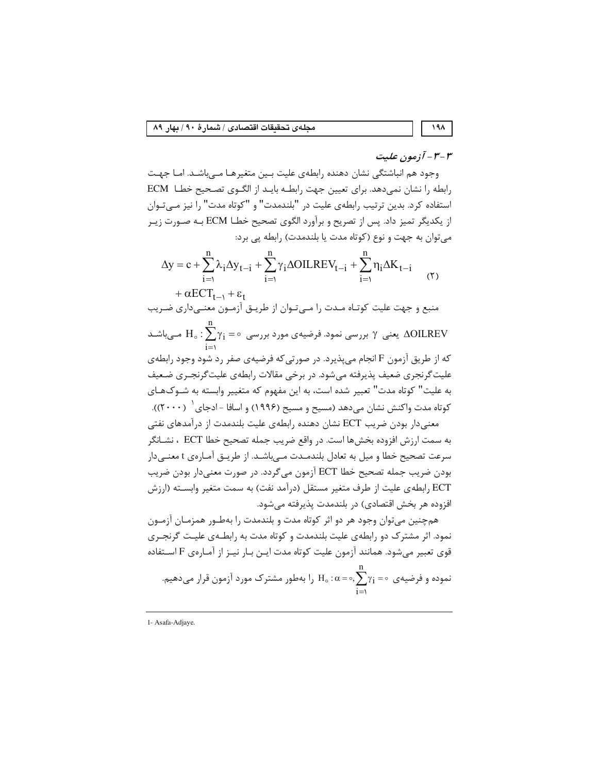۳-۳- آزمون علیت

۱۹۸

وجود هم انباشتگی نشان دهنده رابطهی علیت بـین متغیرهـا مـیباشـد. امـا جهـت رابطه را نشان نمی دهد. برای تعیین جهت رابطـه بایـد از الگـوی تصـحیح خطـا ECM استفاده كرد. بدين ترتيب رابطهي عليت در "بلندمدت" و "كوتاه مدت" را نيز مـي تـوان از يكديگر تميز داد. پس از تصريح و برآورد الگوي تصحيح خطـا ECM بـه صـورت زيـر میتوان به جهت و نوع (کوتاه مدت یا بلندمدت) رابطه یی برد:

$$
\Delta y = c + \sum_{i=1}^{n} \lambda_i \Delta y_{t-i} + \sum_{i=1}^{n} \gamma_i \Delta OILREV_{t-i} + \sum_{i=1}^{n} \eta_i \Delta K_{t-i}
$$
  
+  $\alpha ECT_{t-1} + \varepsilon_t$  (5)

منبع و جهت علیت کوتـاه مـدت را مـی تـوان از طریــق آزمــون معنــی۱داری ضـریب

یعنی  $\gamma$  بررسی نمود. فرضیهی مورد بررسی  $\gamma_\mathrm{i}=\gamma_1\colon\sum\gamma_\mathrm{i}=\mathrm{AOLREV}$  مــیباشــد که از طریق آزمون F انجام میپذیرد. در صورتی که فرضیهی صفر رد شود وجود رابطهی

علیت گرنجری ضعیف پذیرفته میشود. در برخی مقالات رابطهی علیت گرنجـری ضـعیف به علیت" کوتاه مدت" تعبیر شده است، به این مفهوم که متغییر وابسته به شـوکهـای کوتاه مدت واکنش نشان میدهد (مسیح و مسیح (۱۹۹۶) و اسافا -ادجای  $( \mathfrak{r} \cdots )$ ).

معنی دار بودن ضریب ECT نشان دهنده رابطهی علیت بلندمدت از درآمدهای نفتی به سمت ارزش افزوده بخشها است. در واقع ضريب جمله تصحيح خطا ECT ، نشــانگر سرعت تصحیح خطا و میل به تعادل بلندمـدت مـیباشـد. از طریـق آمـارهی t معنـیدار بودن ضريب جمله تصحيح خطا ECT آزمون مي گردد. در صورت معنىدار بودن ضريب ECT رابطه ی علیت از طرف متغیر مستقل (درآمد نفت) به سمت متغیر وابسـته (ارزش افزوده هر بخش اقتصادی) در بلندمدت پذیرفته می شود.

همچنین می توان وجود هر دو اثر کوتاه مدت و بلندمدت را بهطـور همزمـان آزمـون نمود. اثر مشترک دو رابطهی علیت بلندمدت و کوتاه مدت به رابطـهی علیـت گرنجـری قوى تعبير مي شود. همانند آزمون عليت كوتاه مدت ايــن بــار نيــز از آمــارەي F اســتفاده

موده و فرضیەی ∘ = 
$$
\gamma_i
$$
 =  $\alpha$  =  $\alpha$ ,  $\sum_{i=1}^{n} \gamma_i$  =  $\gamma$  فرار میدهیم.

1- Asafa-Adjaye.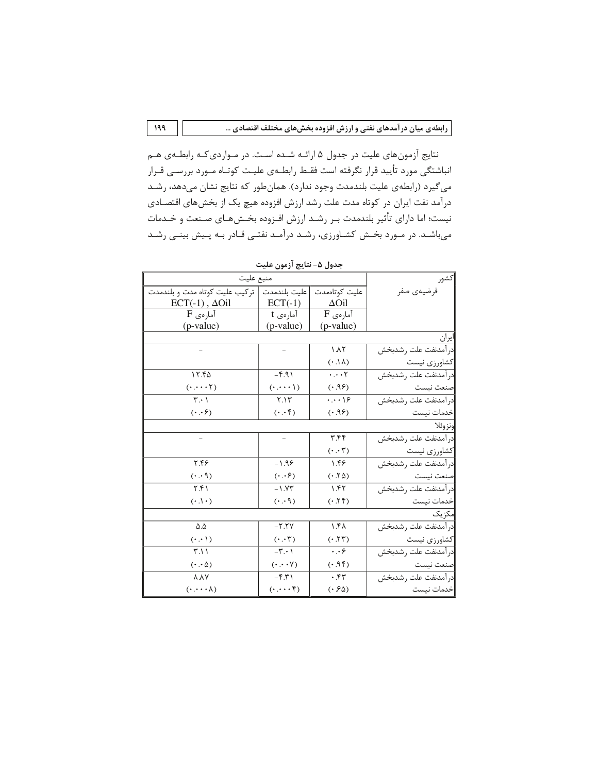نتايج آزمون هاي عليت در جدول ۵ ارائـه شـده اسـت. در مـواردي كـه رابطـهي هـم انباشتگی مورد تأیید قرار نگرفته است فقـط رابطـهی علیـت کوتـاه مـورد بررسـی قـرار میگیرد (رابطهی علیت بلندمدت وجود ندارد). همانطور که نتایج نشان میدهد، رشـد درآمد نفت ایران در کوتاه مدت علت رشد ارزش افزوده هیچ یک از بخشهای اقتصـادی نیست؛ اما دارای تأثیر بلندمدت بـر رشـد ارزش افـزوده بخـش۵عـای صـنعت و خـدمات میباشـد. در مـورد بخـش کشـاورزی، رشـد درآمـد نفتـی قـادر بـه پـیش بینـی رشـد

| منبع عليت                              |                                          |                                     | كشور                 |  |  |  |
|----------------------------------------|------------------------------------------|-------------------------------------|----------------------|--|--|--|
| تركيب عليت كوتاه مدت و بلندمدت         | عليت بلندمدت                             | عليت كوتاەمدت                       | فرضيهى صفر           |  |  |  |
| $ECT(-1)$ , $\Delta Oil$               | $ECT(-1)$                                | $\Delta$ Oil                        |                      |  |  |  |
| $F$ آمارەي                             | آمارەي t                                 | $\overline{\mathrm{F}}$ آمارەي      |                      |  |  |  |
| (p-value)                              | (p-value)                                | (p-value)                           |                      |  |  |  |
|                                        |                                          |                                     | ايران                |  |  |  |
|                                        |                                          | $\lambda \Lambda$                   | در آمدنفت علت رشدبخش |  |  |  |
|                                        |                                          | $(\cdot \Lambda)$                   | كشاورزى نيست         |  |  |  |
| ۱۲.۴۵                                  | $-5.91$                                  | $\cdots$ ۲                          | در آمدنفت علت رشدبخش |  |  |  |
| $(\cdot \cdot \cdot \cdot \cdot \tau)$ | $( \cdot \cdot \cdot \cdot )$            | (5.95)                              | صنعت نيست            |  |  |  |
| $\mathbf{r} \cdot \mathbf{1}$          | Y.1Y                                     | $\cdots$                            | در آمدنفت علت رشدبخش |  |  |  |
| $(\cdot \cdot \cdot)$                  | $(\cdot \cdot, \mathfrak{f})$            | (5.95)                              | خدمات نيست           |  |  |  |
|                                        |                                          |                                     | إونزوئلا             |  |  |  |
|                                        |                                          | ۳.۴۴                                | در آمدنفت علت رشدبخش |  |  |  |
|                                        |                                          | $(\cdot \cdot, \tilde{\mathsf{r}})$ | كشاورزى نيست         |  |  |  |
| ۲.۴۶                                   | $-1.99$                                  | ۱.۴۶                                | در آمدنفت علت رشدبخش |  |  |  |
| $(0 \cdot \cdot \cdot)$                | $(\cdot \cdot \cdot)$                    | (0.50)                              | صنعت نيست            |  |  |  |
| ۲.۴۱                                   | $-1.97$                                  | 1.55                                | در آمدنفت علت رشدبخش |  |  |  |
| $( \cdot \cdot ) \cdot )$              | (0.00)                                   | (5.55)                              | خدمات نیست           |  |  |  |
| مکزیک                                  |                                          |                                     |                      |  |  |  |
| $\Delta . \Delta$                      | $YY - Y$                                 | $\lambda$ . $f \lambda$             | در آمدنفت علت رشدبخش |  |  |  |
| $(\cdot \cdot \cdot)$                  | $(\cdot \cdot \cdot \mathsf{Y})$         | (5.55)                              | كشاورزى نيست         |  |  |  |
| $\mathsf{r} \wedge \mathsf{r}$         | $-\mathbf{r}\cdot\mathbf{1}$             | $\cdot \cdot \varepsilon$           | در آمدنفت علت رشدبخش |  |  |  |
| $(\cdot \cdot \Delta)$                 | $(\cdot \cdot \cdot \vee)$               | (5.95)                              | صنعت نيست            |  |  |  |
| <b>AAY</b>                             | $-\mathbf{f}.\mathbf{r}$                 | .57                                 | در آمدنفت علت رشدبخش |  |  |  |
| $(\cdot \cdot \cdot \cdot \wedge)$     | $(\cdot \cdot \cdot \cdot \mathfrak{f})$ | (0.56)                              | خدمات نيست           |  |  |  |

جدول ۵- نتايج آزمون عليت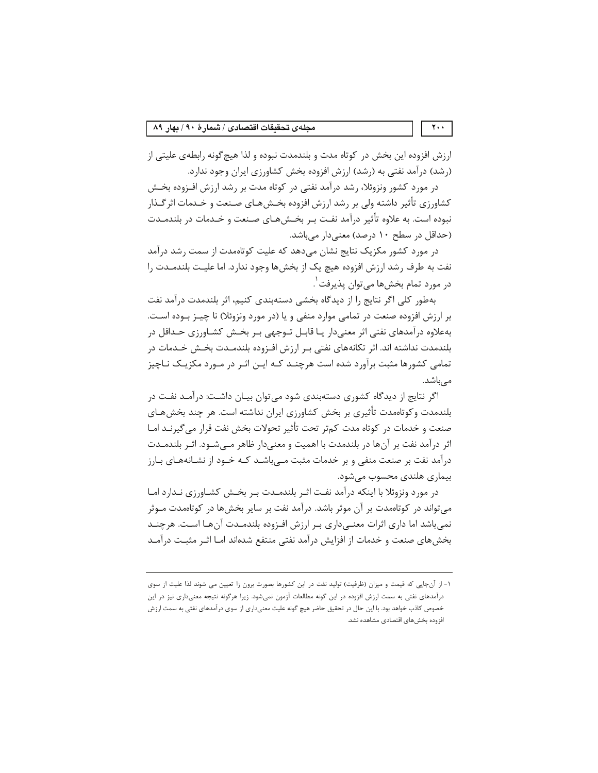ارزش افزوده این بخش در کوتاه مدت و بلندمدت نبوده و لذا هیچ گونه رابطهی علیتی از (رشد) درآمد نفتی به (رشد) ارزش افزوده بخش کشاورزی ایران وجود ندارد.

در مورد کشور ونزوئلا، رشد درآمد نفتی در کوتاه مدت بر رشد ارزش افـزوده بخـش کشاورزی تأثیر داشته ولی بر رشد ارزش افزوده بخـشهـای صـنعت و خـدمات اثر گـذار نبوده است. به علاوه تأثیر درآمد نفت بـر بخـشهـای صـنعت و خـدمات در بلندمـدت (حداقل در سطح ۱۰ درصد) معنیدار میباشد.

در مورد کشور مکزیک نتایج نشان میدهد که علیت کوتاهمدت از سمت رشد درآمد نفت به طرف رشد ارزش افزوده هیچ یک از بخشها وجود ندارد. اما علیـت بلندمــدت را در مورد تمام بخشها ميتوان پذيرفت'.

بهطور كلي اگر نتايج را از ديدگاه بخشي دستهبندي كنيم، اثر بلندمدت درآمد نفت بر ارزش افزوده صنعت در تمامی موارد منفی و یا (در مورد ونزوئلا) نا چیـز بـوده اسـت. بهعلاوه درآمدهای نفتی اثر معنیدار یـا قابـل تــوجهی بــر بخــش کشــاورزی حــدافل در بلندمدت نداشته اند. اثر تكانههاي نفتي بـر ارزش افـزوده بلندمــدت بخــش خــدمات در تمامی کشورها مثبت برآورد شده است هرچنـد کـه ایـن اثـر در مـورد مکزیـک نـاچیز مے باشد.

اگر نتایج از دیدگاه کشوری دستهبندی شود می توان بیـان داشـت: درآمـد نفـت در بلندمدت وکوتاهمدت تأثيري بر بخش کشاورزي ايران نداشته است. هر چند بخشهـاي صنعت و خدمات در کوتاه مدت کمتر تحت تأثیر تحولات بخش نفت قرار می گیرنـد امـا اثر درآمد نفت بر آنها در بلندمدت با اهمیت و معنیدار ظاهر مــیشــود. اثـر بلندمــدت درآمد نفت بر صنعت منفی و بر خدمات مثبت مے باشـد کـه خـود از نشـانههـای بـارز بیماری هلندی محسوب مے شود.

در مورد ونزوئلا با اینکه درآمد نفت اثـر بلندمـدت بـر بخـش کشـاورزی نـدارد امـا می تواند در کوتاهمدت بر آن موثر باشد. درآمد نفت بر سایر بخشها در کوتاهمدت مــوثر نمی باشد اما داری اثرات معنـی۱داری بـر ارزش افـزوده بلندمـدت آنهـا اسـت. هرچنـد بخشهای صنعت و خدمات از افزایش درآمد نفتی منتفع شدهاند امـا اثـر مثبـت درآمـد

 $\mathbf{Y} \leftrightarrow$ 

١- از آنجايي كه قيمت و ميزان (ظرفيت) توليد نفت در اين كشورها بصورت برون زا تعيين مي شوند لذا عليت از سوى درآمدهای نفتی به سمت ارزش افزوده در این گونه مطالعات آزمون نمیشود. زیرا هرگونه نتیجه معنیداری نیز در این خصوص کاذب خواهد بود. با این حال در تحقیق حاضر هیچ گونه علیت معنیداری از سوی درآمدهای نفتی به سمت ارزش افزوده بخش های اقتصادی مشاهده نشد.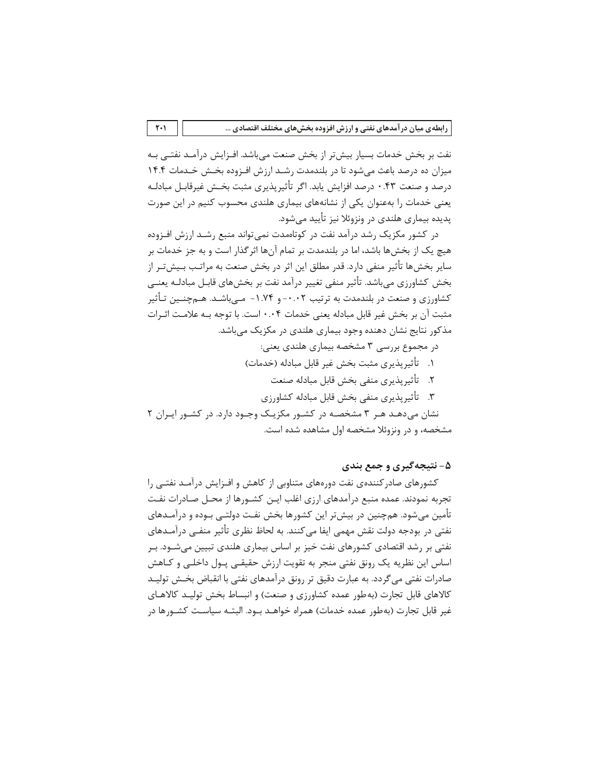نفت بر بخش خدمات بسیار بیش تر از بخش صنعت میباشد. افـزایش درآمـد نفتـی بـه میزان ده درصد باعث میشود تا در بلندمدت رشـد ارزش افـزوده بخـش خـدمات ۱۴.۴ درصد و صنعت ۰.۴۳ درصد افزایش یابد. اگر تأثیرپذیری مثبت بخـش غیرقابـل مبادلـه یعنی خدمات را بهعنوان یکی از نشانههای بیماری هلندی محسوب کنیم در این صورت یدیده بیماری هلندی در ونزوئلا نیز تأیید می شود.

در کشور مکزیک رشد درآمد نفت در کوتاهمدت نمی تواند منبع رشـد ارزش افـزوده هیچ یک از بخشها باشد، اما در بلندمدت بر تمام آنها اثرگذار است و به جز خدمات بر سایر بخش۵۰ تأثیر منفی دارد. قدر مطلق این اثر در بخش صنعت به مراتب بـیشتـر از بخش کشاورزی میباشد. تأثیر منفی تغییر درآمد نفت بر بخشهای قابـل مبادلــه یعنــی کشاورزی و صنعت در بلندمدت به ترتیب ۰.۰۲- و ۱.۷۴- مـیباشـد. هـمچنــین تـأثیر مثبت آن بر بخش غیر قابل مبادله یعنی خدمات ۰.۰۴ است. با توجه بـه علامـت اثـرات مذکور نتایج نشان دهنده وجود بیماری هلندی در مکزیک می باشد.

- در مجموع بررسی ۳ مشخصه بیماری هلندی یعنی:
- ١. تأثير يذيري مثبت بخش غير قابل مبادله (خدمات)
	- ٢. تأثيريذيري منفى بخش قابل مبادله صنعت
	- ٣. تأثيريذيري منفى بخش قابل مبادله كشاورزي

نشان می دهـد هـر ۳ مشخصـه در کشـور مکزیـک وجـود دارد. در کشـور ایـران ۲ مشخصه، و در ونزوئلا مشخصه اول مشاهده شده است.

## ۵- نتیجهگیری و جمع بندی

کشورهای صادر کنندهی نفت دورههای متناوبی از کاهش و افـزایش درآمـد نفتـی را تجربه نمودند. عمده منبع درآمدهای ارزی اغلب ایـن کشـورها از محـل صـاد,ات نفـت تأمین میشود. همچنین در بیشتر این کشورها بخش نفت دولتـی بـوده و درآمـدهای نفتی در بودجه دولت نقش مهمی ایفا می کنند. به لحاظ نظری تأثیر منفــی درآمـدهای نفتی بر رشد اقتصادی کشورهای نفت خیز بر اساس بیماری هلندی تبیین میشــود. بــر اساس این نظریه یک رونق نفتی منجر به تقویت ارزش حقیقـی پـول داخلـی و کـاهش صادرات نفتی می گردد. به عبارت دقیق تر رونق در آمدهای نفتی با انقباض بخـش تولیـد کالاهای قابل تجارت (به طور عمده کشاورزی و صنعت) و انبساط بخش تولیـد کالاهـای غیر قابل تجارت (بهطور عمده خدمات) همراه خواهـد بـود. البتـه سیاسـت کشـورها در

 $\mathsf{r} \cdot \mathsf{r}$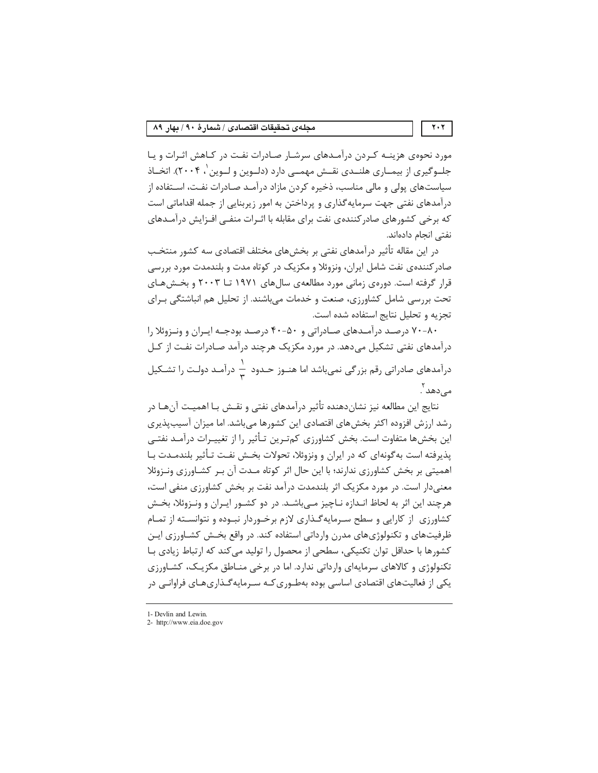مورد نحوهی هزینـه کـردن درآمـدهای سرشـار صـادرات نفـت در کـاهش اثـرات و یـا جلــوگیری از بیمــاری هلنــدی نقــش مهمــی دارد (دلــوین و لــوین '، ۲۰۰۴). اتخــاذ سیاستهای پولی و مالی مناسب، ذخیره کردن مازاد درآمـد صـادرات نفـت، اسـتفاده از درآمدهای نفتی جهت سرمایه گذاری و پرداختن به امور زیربنایی از جمله اقداماتی است که برخی کشورهای صادر کنندهی نفت برای مقابله با اثـرات منفــی افــزایش درآمــدهای نفتے انحام دادہاند.

در این مقاله تأثیر درآمدهای نفتی بر بخشهای مختلف اقتصادی سه کشور منتخـب صادر کنندهی نفت شامل ایران، ونزوئلا و مکزیک در کوتاه مدت و بلندمدت مورد بررسی قرار گرفته است. دورهی زمانی مورد مطالعهی سال های ۱۹۷۱ تــا ۲۰۰۳ و بخـش هـای تحت بررسی شامل کشاورزی، صنعت و خدمات می باشند. از تحلیل هم انباشتگی بـرای تجزیه و تحلیل نتایج استفاده شده است.

۸۰–۷۰ درصـد درآمـدهای صـادراتی و ۴۰–۴۰ درصـد بودجـه ایـران و ونـزوئلا را درآمدهای نفتی تشکیل میدهد. در مورد مکزیک هرچند درآمد صـادرات نفـت از کـل درآمدهای صادراتی رقم بزرگی نمیباشد اما هنـوز حـدود  $\frac{1}{v}$  درآمـد دولـت را تشـكيل مہ زدھد ْ .

نتايج اين مطالعه نيز نشاندهنده تأثير درآمدهاى نفتى و نقـش بـا اهميـت آنهـا در رشد ارزش افزوده اکثر بخشهای اقتصادی این کشورها میباشد. اما میزان آسیبپذیری این بخش۵ما متفاوت است. بخش کشاورزی کمتـرین تـأثیر را از تغییـرات درآمـد نفتـی یذیرفته است به گونهای که در ایران و ونزوئلا، تحولات بخـش نفـت تـأثیر بلندمـدت بـا اهمیتی بر بخش کشاورزی ندارند؛ با این حال اثر کوتاه مـدت آن بـر کشـاورزی ونـزوئلا معنی دار است. در مورد مکزیک اثر بلندمدت درآمد نفت بر بخش کشاورزی منفی است، هرچند این اثر به لحاظ انـدازه نـاچیز مـی،باشـد. در دو کشـور ایـران و ونـزوئلا، بخـش کشاورزی از کارایی و سطح سـرمایهگـذاری لازم برخـوردار نبـوده و نتوانسـته از تمـام ظرفیتهای و تکنولوژیهای مدرن وارداتی استفاده کند. در واقع بخـش کشــاورزی ایــن کشورها با حداقل توان تکنیکی، سطحی از محصول را تولید می کند که ارتباط زیادی بـا تکنولوژی و کالاهای سرمایهای وارداتی ندارد. اما در برخی منـاطق مکزیـک، کشـاورزی یکی از فعالیتهای اقتصادی اساسی بوده بهطـوری کـه سـرمایهگـذاریهـای فراوانـی در

 $\mathbf{Y} \cdot \mathbf{Y}$ 

<sup>1-</sup> Devlin and Lewin.

<sup>2-</sup> http://www.eia.doe.gov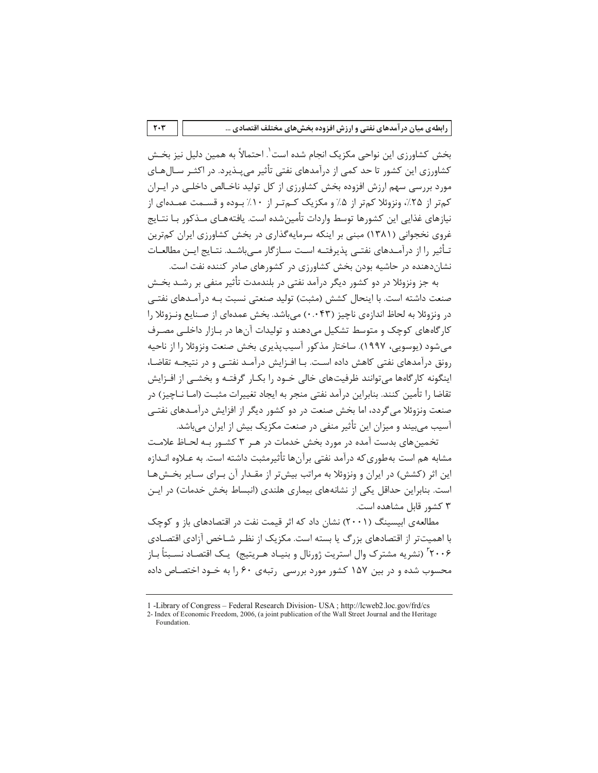بخش كشاورزي اين نواحي مكزيک انجام شده است`. احتمالاً به همين دليل نيز بخـش کشاورزی این کشور تا حد کمی از درآمدهای نفتی تأثیر میپــذیرد. در اکثــر ســال۱صای مورد بررسی سهم ارزش افزوده بخش کشاورزی از کل تولید ناخـالص داخلـی در ایـران کمتر از ۲۵٪، ونزوئلا کمتر از ۰۵٪ و مکزیک کـمتـر از ۱۰٪ بـوده و قسـمت عمـدهای از نیازهای غذایی این کشورها توسط واردات تأمین شده است. یافتههـای مـذکور بـا نتـایج غروی نخجوانی (۱۳۸۱) مبنی بر اینکه سرمایهگذاری در بخش کشاورزی ایران کمترین تـأثير را از درآمـدهاي نفتـي پذيرفتــه اسـت سـازگار مــي،اشــد. نتـايج ايــن مطالعــات نشان دهنده در حاشیه بودن بخش کشاورزی در کشورهای صادر کننده نفت است.

به جز ونزوئلا در دو کشور دیگر درآمد نفتی در بلندمدت تأثیر منفی بر رشـد بخـش صنعت داشته است. با اینحال کشش (مثبت) تولید صنعتی نسبت بـه درآمـدهای نفتـی در ونزوئلا به لحاظ اندازهي ناچيز (۰.۰۴۳) مي باشد. بخش عمدهاي از صـنايع ونـزوئلا را کار گاههای کوچک و متوسط تشکیل می دهند و تولیدات آنها در بـازار داخلـی مصـرف می شود (پوسویی، ۱۹۹۷). ساختار مذکور آسیبپذیری بخش صنعت ونزوئلا را از ناحیه رونق درآمدهای نفتی کاهش داده است. بـا افـزایش درآمـد نفتـی و در نتیجـه تقاضـا، اینگونه کارگاهها می توانند ظرفیتهای خالی خــود را بکــار گرفتــه و بخشــی از افــزایش تقاضا ٫۱ تأمین کنند. بنابراین د٫ آمد نفتی منجر به ایجاد تغییرات مثبت (امـا نـاچیز) د٫ صنعت ونزوئلا می گردد، اما بخش صنعت در دو کشور دیگر از افزایش درآمـدهای نفتــی آسیب می بیند و میزان این تأثیر منفی در صنعت مکزیک بیش از ایران می باشد.

تخمین های بدست آمده در مورد بخش خدمات در هـر ۳ کشـور بـه لحـاظ علامـت مشابه هم است بهطوري كه درآمد نفتي برآنها تأثيرمثبت داشته است. به عـلاوه انـدازه این اثر (کشش) در ایران و ونزوئلا به مراتب بیشتر از مقـدار آن بـرای سـایر بخـشهـا است. بنابراین حداقل یکی از نشانههای بیماری هلندی (انبساط بخش خدمات) در ایـن ۳ کشور قابل مشاهده است.

مطالعهی اییسینگ (۲۰۰۱) نشان داد که اثر قیمت نفت در اقتصادهای باز و کوچک با اهمیتتر از اقتصادهای بزرگ با بسته است. مکزیک از نظیر شیاخص آزادی اقتصادی ۲۰۰۶' (نشریه مشترک وال استریت ژورنال و بنیـاد هـریتیج) یـک اقتصـاد نسـبتاً بـاز محسوب شده و در بین ۱۵۷ کشور مورد بررسی رتبهی ۶۰ را به خـود اختصـاص داده

 $\mathbf{r} \cdot \mathbf{r}$ 

<sup>1 -</sup>Library of Congress – Federal Research Division- USA; http://lcweb2.loc.gov/frd/cs

<sup>2-</sup> Index of Economic Freedom, 2006, (a joint publication of the Wall Street Journal and the Heritage Foundation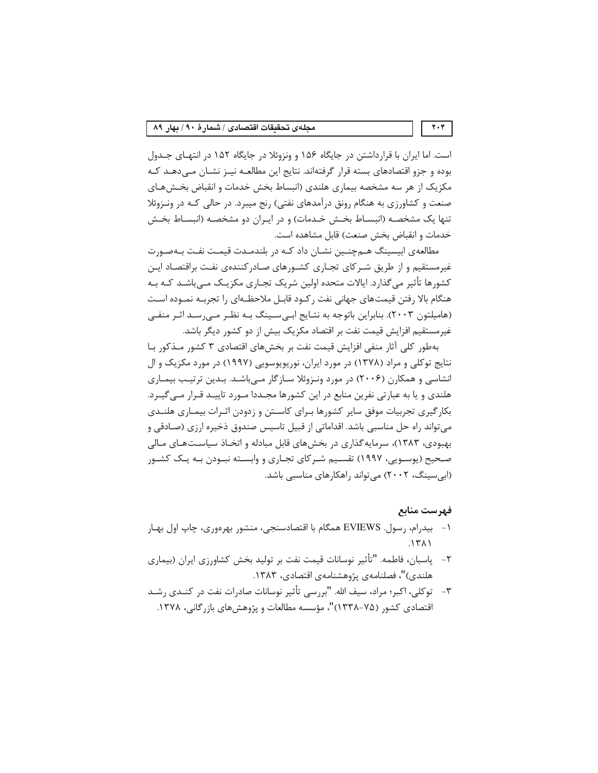است. اما ایران با قرارداشتن در جایگاه ۱۵۶ و ونزوئلا در جایگاه ۱۵۲ در انتهای جـدول بوده و جزو اقتصادهای بسته قرار گرفتهاند. نتایج این مطالعـه نیـز نشـان مـی‹هـد کـه مکزیک از هر سه مشخصه بیماری هلندی (انبساط بخش خدمات و انقباض بخـشهـای صنعت و کشاورزی به هنگام رونق درآمدهای نفتی) رنج میبرد. در حالی کـه در ونـزوئلا تنها یک مشخصـه (انبسـاط بخـش خـدمات) و در ایـران دو مشخصـه (انبسـاط بخـش خدمات و انقباض بخش صنعت) قابل مشاهده است.

مطالعهی ابیسینگ هـمچنـین نشـان داد کـه در بلندمـدت قیمـت نفـت بـهصـورت غیرمستقیم و از طریق شـر کای تجـاری کشـورهای صـادر کنندهی نفـت براقتصـاد ایـن کشورها تأثیر میگذارد. ایالات متحده اولین شریک تجـاری مکزیـک مـیباشـد کـه بـه هنگام بالا رفتن قیمتهای جهانی نفت رکـود قابـل ملاحظـهای را تجربـه نمـوده اسـت (هامیلتون ۲۰۰۳). بنابراین باتوجه به نتـایج ابـیسـینگ بـه نظـر مـیرسـد اثـر منفـی غیرمستقیم افزایش قیمت نفت بر اقتصاد مکزیک بیش از دو کشور دیگر باشد.

بهطور کلی آثار منفی افزایش قیمت نفت بر بخشهای اقتصادی ۳ کشور مـذکور بـا نتایج توکلی و مراد (۱۳۷۸) در مورد ایران، نوریویوسویی (۱۹۹۷) در مورد مکزیک و ال انشاسی و همکارن (۲۰۰۶) در مورد ونـزوئلا سـازگار مـیıباشـد. بـدین ترتیـب بیمـاری هلندی و یا به عبارتی نفرین منابع در این کشورها مجـددا مـورد تاییـد قـرار مـی5یـرد. بکار گیری تجربیات موفق سایر کشورها بـرای کاسـتن و زدودن اثـرات بیمـاری هلنــدی می تواند راه حل مناسبی باشد. اقداماتی از قبیل تاسیس صندوق ذخیره ارزی (صـادقی و بهبودی، ۱۳۸۳)، سرمایه گذاری در بخشهای قابل مبادله و اتخـاذ سیاسـتهـای مـالی صحیح (یوسـویی، ۱۹۹۷) تقسـیم شـرکای تجـاری و وابسـته نبـودن بـه یـک کشـور (ابی سینگ، ۲۰۰۲) می تواند راهکارهای مناسبی باشد.

#### فهرست منابع

- ۱- بیدرام، رسول. EVIEWS همگام با اقتصادسنجی، منشور بهرهوری، چاپ اول بهـار  $.1711$
- ٢- ياسبان، فاطمه. "تأثير نوسانات قيمت نفت بر توليد بخش كشاورزى ايران (بيمارى هلندي)"، فصلنامەي پژوهشنامەي اقتصادى، ١٣٨٣.
- ٣- توكلي، اكبر؛ مراد، سيف الله. "بررسي تأثير نوسانات صادرات نفت در كنــدي رشــد اقتصادی کشور (۷۵-۱۳۳۸)"، مؤسسه مطالعات و پژوهشهای بازرگانی، ۱۳۷۸.

 $\mathbf{Y} \cdot \mathbf{Y}$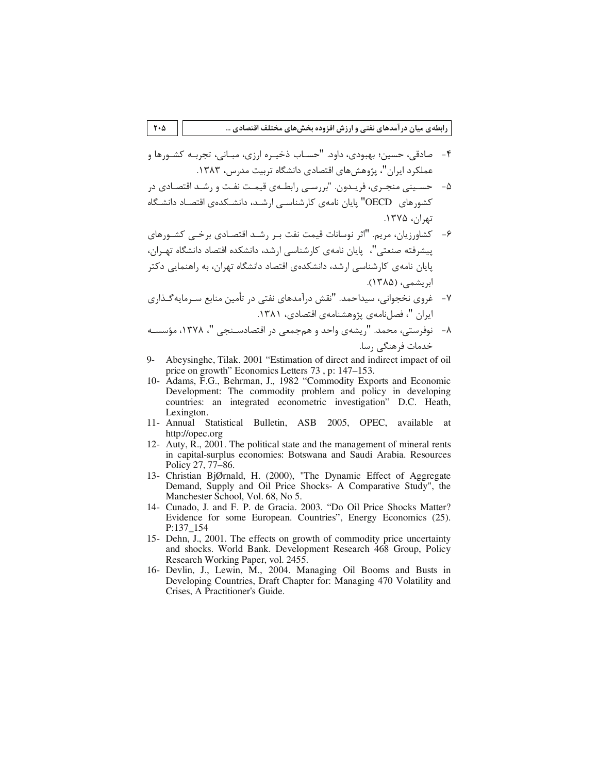رابطهی میان درآمدهای نفتی و ارزش افزوده بخشهای مختلف اقتصادی …

- ۴- صادقي، حسين؛ بهبودي، داود. "حسـاب ذخيـره ارزي، مبـاني، تجربـه كشـورها و عملکرد ایران"، پژوهش های اقتصادی دانشگاه تربیت مدرس، ۱۳۸۳.
- ۵– حسـینی منجـری، فریـدون. "بررسـی رابطـهی قیمـت نفـت و رشـد اقتصـادی در کشورهای OECD" پایان نامهی کارشناسے ارشـد، دانشـکدهی اقتصـاد دانشـگاه تھان، ۱۳۷۵.
- ۶- کشاورزیان، مریم. "اثر نوسانات قیمت نفت بـر رشـد اقتصـادی برخـی کشـورهای ییشرفته صنعتی"، "یایان نامهی کارشناسی ارشد، دانشکده اقتصاد دانشگاه تهـران، یایان نامهی کارشناسی ارشد، دانشکدهی اقتصاد دانشگاه تهران، به راهنمایی دکتر ابریشمی، (۱۳۸۵).
- ٧- غروي نخجواني، سيداحمد. "نقش درآمدهاي نفتي در تأمين منابع سـرمايه گـذاري ايران "، فصل نامهي پژوهشنامهي اقتصادي، ١٣٨١.
- ٨- نوفرستي، محمد. "ريشەي واحد و هم جمعي در اقتصادســنجي "، ١٣٧٨، مؤسســه خدمات فرهنگی رسا.
- Abeysinghe, Tilak. 2001 "Estimation of direct and indirect impact of oil  $Q_{-}$ price on growth" Economics Letters 73, p: 147–153.
- 10- Adams, F.G., Behrman, J., 1982 "Commodity Exports and Economic Development: The commodity problem and policy in developing countries: an integrated econometric investigation" D.C. Heath, Lexington.
- 11- Annual Statistical Bulletin, ASB 2005, OPEC, available at http://opec.org
- 12- Auty, R., 2001. The political state and the management of mineral rents in capital-surplus economies: Botswana and Saudi Arabia. Resources Policy 27, 77–86.
- 13- Christian BjØrnald, H. (2000), "The Dynamic Effect of Aggregate Demand, Supply and Oil Price Shocks- A Comparative Study", the Manchester School, Vol. 68, No 5.
- 14- Cunado, J. and F. P. de Gracia. 2003. "Do Oil Price Shocks Matter? Evidence for some European. Countries", Energy Economics (25). P:137 154
- 15- Dehn, J., 2001. The effects on growth of commodity price uncertainty and shocks. World Bank. Development Research 468 Group, Policy Research Working Paper, vol. 2455.
- 16- Devlin, J., Lewin, M., 2004. Managing Oil Booms and Busts in Developing Countries, Draft Chapter for: Managing 470 Volatility and Crises, A Practitioner's Guide.